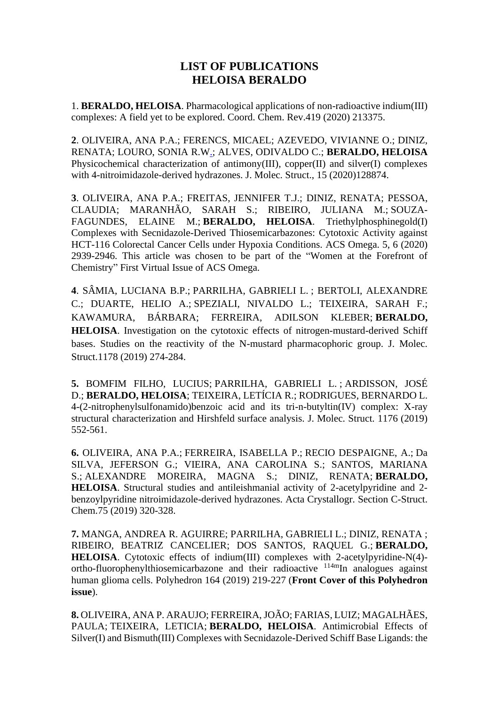## **LIST OF PUBLICATIONS HELOISA BERALDO**

1. **[BERALDO, HELOISA](http://lattes.cnpq.br/8218059267505950)**. Pharmacological applications of non-radioactive indium(III) complexes: A field yet to be explored. Coord. Chem. Rev.419 (2020) 213375.

**2**. OLIVEIRA, ANA P.A.; FERENCS, MICAEL; AZEVEDO, VIVIANNE O.; DINIZ, RENATA; [LOURO, SONIA R.W.;](http://lattes.cnpq.br/6450292906586525) ALVES, ODIVALDO C.; **BERALDO, HELOISA** Physicochemical characterization of antimony(III), copper(II) and silver(I) complexes with 4-nitroimidazole-derived hydrazones. J. Molec. Struct., 15 (2020)128874.

**3**. OLIVEIRA, ANA P.A.; FREITAS, JENNIFER T.J.; DINIZ, RENATA; PESSOA, CLAUDIA; MARANHÃO, SARAH S.; RIBEIRO, JULIANA M.; [SOUZA-](http://lattes.cnpq.br/6275124345922194)[FAGUNDES,](http://lattes.cnpq.br/6275124345922194) ELAINE M.; **BERALDO, HELOISA**. Triethylphosphinegold(I) Complexes with Secnidazole-Derived Thiosemicarbazones: Cytotoxic Activity against HCT-116 Colorectal Cancer Cells under Hypoxia Conditions. ACS Omega. 5, 6 (2020) 2939-2946. This article was chosen to be part of the "Women at the Forefront of Chemistry" First Virtual Issue of ACS Omega.

**4**. SÂMIA, LUCIANA B.P.; [PARRILHA,](http://lattes.cnpq.br/1443338732472269) GABRIELI L. ; BERTOLI, ALEXANDRE C.; DUARTE, HELIO A.; [SPEZIALI,](http://lattes.cnpq.br/2287316756049448) NIVALDO L.; TEIXEIRA, SARAH F.; KAWAMURA, BÁRBARA; FERREIRA, ADILSON KLEBER; **BERALDO, HELOISA**. Investigation on the cytotoxic effects of nitrogen-mustard-derived Schiff bases. Studies on the reactivity of the N-mustard pharmacophoric group. J. Molec. Struct.1178 (2019) 274-284.

**5.** BOMFIM FILHO, LUCIUS; [PARRILHA,](http://lattes.cnpq.br/1443338732472269) GABRIELI L. ; [ARDISSON,](http://lattes.cnpq.br/6486792705300520) JOSÉ [D.;](http://lattes.cnpq.br/6486792705300520) **BERALDO, HELOISA**; [TEIXEIRA,](http://lattes.cnpq.br/3150790447778819) LETÍCIA R.; RODRIGUES, BERNARDO L. 4-(2-nitrophenylsulfonamido)benzoic acid and its tri-n-butyltin(IV) complex: X-ray structural characterization and Hirshfeld surface analysis. J. Molec. Struct. 1176 (2019) 552-561.

**6.** OLIVEIRA, ANA P.A.; [FERREIRA,](http://lattes.cnpq.br/4260734232382167) ISABELLA P.; RECIO [DESPAIGNE,](http://lattes.cnpq.br/4240369058617665) A.; Da SILVA, [JEFERSON](http://lattes.cnpq.br/4049419303742888) G.; VIEIRA, ANA CAROLINA S.; SANTOS, MARIANA S.; [ALEXANDRE](http://lattes.cnpq.br/1313843948155733) MOREIRA, MAGNA S.; DINIZ, RENATA; **BERALDO, HELOISA**. Structural studies and antileishmanial activity of 2-acetylpyridine and 2 benzoylpyridine nitroimidazole-derived hydrazones. Acta Crystallogr. Section C-Struct. Chem.75 (2019) 320-328.

**7.** MANGA, ANDREA R. AGUIRRE; [PARRILHA,](http://lattes.cnpq.br/1443338732472269) GABRIELI L.; DINIZ, RENATA ; RIBEIRO, BEATRIZ CANCELIER; DOS SANTOS, RAQUEL G.; **BERALDO, HELOISA**. Cytotoxic effects of indium(III) complexes with 2-acetylpyridine-N(4) ortho-fluorophenylthiosemicarbazone and their radioactive <sup>114m</sup>In analogues against human glioma cells. Polyhedron 164 (2019) 219-227 (**Front Cover of this Polyhedron issue**).

**8.** OLIVEIRA, ANA P. ARAUJO; FERREIRA, JOÃO; FARIAS, LUIZ; MAGALHÃES, PAULA; [TEIXEIRA,](http://lattes.cnpq.br/3150790447778819) LETICIA; **BERALDO, HELOISA**. Antimicrobial Effects of Silver(I) and Bismuth(III) Complexes with Secnidazole-Derived Schiff Base Ligands: the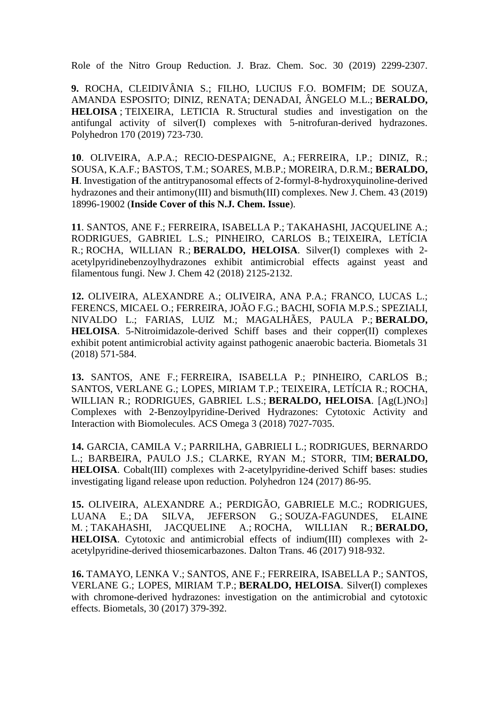Role of the Nitro Group Reduction. J. Braz. Chem. Soc. 30 (2019) 2299-2307.

**9.** ROCHA, CLEIDIVÂNIA S.; FILHO, LUCIUS F.O. BOMFIM; DE SOUZA, AMANDA ESPOSITO; DINIZ, RENATA; [DENADAI,](http://lattes.cnpq.br/5576033965386660) ÂNGELO M.L.; **BERALDO, HELOISA** ; [TEIXEIRA,](http://lattes.cnpq.br/3150790447778819) LETICIA R. Structural studies and investigation on the antifungal activity of silver(I) complexes with 5-nitrofuran-derived hydrazones. Polyhedron 170 (2019) 723-730.

**10**. OLIVEIRA, A.P.A.; RECIO-DESPAIGNE, A.; [FERREIRA,](http://lattes.cnpq.br/4260734232382167) I.P.; DINIZ, R.; SOUSA, K.A.F.; BASTOS, T.M.; SOARES, M.B.P.; MOREIRA, D.R.M.; **BERALDO, H**. Investigation of the antitrypanosomal effects of 2-formyl-8-hydroxyquinoline-derived hydrazones and their antimony(III) and bismuth(III) complexes. New J. Chem. 43 (2019) 18996-19002 (**Inside Cover of this N.J. Chem. Issue**).

**11**. SANTOS, ANE F.; [FERREIRA,](http://lattes.cnpq.br/4260734232382167) ISABELLA P.; TAKAHASHI, [JACQUELINE](http://lattes.cnpq.br/8436025963943451) A.; RODRIGUES, GABRIEL L.S.; PINHEIRO, CARLOS B.; [TEIXEIRA,](http://lattes.cnpq.br/3150790447778819) LETÍCIA [R.;](http://lattes.cnpq.br/3150790447778819) ROCHA, [WILLIAN](http://lattes.cnpq.br/5873636553295704) R.; **BERALDO, HELOISA**. Silver(I) complexes with 2 acetylpyridinebenzoylhydrazones exhibit antimicrobial effects against yeast and filamentous fungi. New J. Chem 42 (2018) 2125-2132.

**12.** OLIVEIRA, ALEXANDRE A.; OLIVEIRA, ANA P.A.; FRANCO, LUCAS L.; FERENCS, MICAEL O.; FERREIRA, JOÃO F.G.; BACHI, SOFIA M.P.S.; [SPEZIALI,](http://lattes.cnpq.br/2287316756049448) [NIVALDO](http://lattes.cnpq.br/2287316756049448) L.; FARIAS, LUIZ M.; MAGALHÃES, PAULA P.; **BERALDO, HELOISA**. 5-Nitroimidazole-derived Schiff bases and their copper(II) complexes exhibit potent antimicrobial activity against pathogenic anaerobic bacteria. Biometals 31 (2018) 571-584.

**13.** SANTOS, ANE F.; [FERREIRA,](http://lattes.cnpq.br/4260734232382167) ISABELLA P.; PINHEIRO, CARLOS B.; SANTOS, VERLANE G.; LOPES, MIRIAM T.P.; [TEIXEIRA,](http://lattes.cnpq.br/8218059267505950) LETÍCIA R.; [ROCHA,](http://lattes.cnpq.br/5873636553295704) [WILLIAN](http://lattes.cnpq.br/5873636553295704) R.; RODRIGUES, GABRIEL L.S.; **BERALDO, HELOISA**. [Ag(L)NO3] Complexes with 2-Benzoylpyridine-Derived Hydrazones: Cytotoxic Activity and Interaction with Biomolecules. ACS Omega 3 (2018) 7027-7035.

**14.** GARCIA, CAMILA V.; [PARRILHA,](http://lattes.cnpq.br/1443338732472269) GABRIELI L.; [RODRIGUES,](http://lattes.cnpq.br/6915714261651875) BERNARDO [L.;](http://lattes.cnpq.br/6915714261651875) BARBEIRA, PAULO J.S.; CLARKE, RYAN M.; STORR, TIM; **BERALDO, HELOISA**. Cobalt(III) complexes with 2-acetylpyridine-derived Schiff bases: studies investigating ligand release upon reduction. Polyhedron 124 (2017) 86-95.

**15.** OLIVEIRA, ALEXANDRE A.; PERDIGÃO, GABRIELE M.C.; RODRIGUES, LUANA E.; DA SILVA, [JEFERSON](http://lattes.cnpq.br/4049419303742888) G.; [SOUZA-FAGUNDES,](http://lattes.cnpq.br/6275124345922194) ELAINE [M.](http://lattes.cnpq.br/6275124345922194) ; TAKAHASHI, [JACQUELINE](http://lattes.cnpq.br/8436025963943451) A.; ROCHA, [WILLIAN](http://lattes.cnpq.br/5873636553295704) R.; **BERALDO, HELOISA**. Cytotoxic and antimicrobial effects of indium(III) complexes with 2 acetylpyridine-derived thiosemicarbazones. Dalton Trans. 46 (2017) 918-932.

**16.** TAMAYO, LENKA V.; SANTOS, ANE F.; [FERREIRA,](http://lattes.cnpq.br/4260734232382167) ISABELLA P.; SANTOS, VERLANE G.; LOPES, MIRIAM T.P.; **BERALDO, HELOISA**. Silver(I) complexes with chromone-derived hydrazones: investigation on the antimicrobial and cytotoxic effects. Biometals, 30 (2017) 379-392.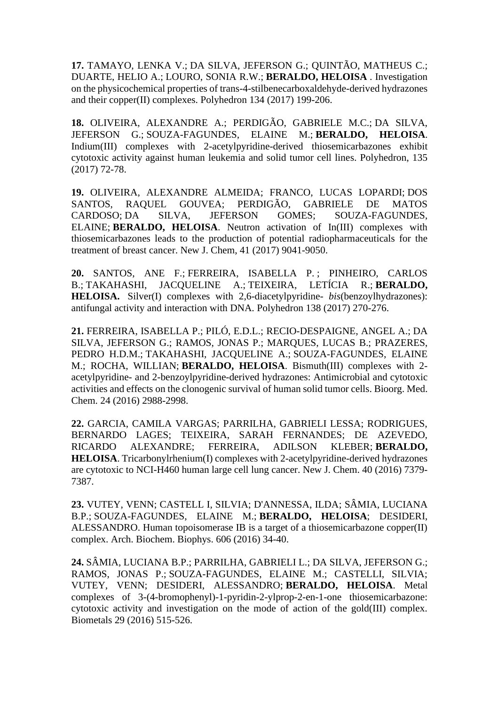**17.** TAMAYO, LENKA V.; DA SILVA, [JEFERSON](http://lattes.cnpq.br/4049419303742888) G.; QUINTÃO, MATHEUS C.; DUARTE, HELIO A.; [LOURO,](http://lattes.cnpq.br/6450292906586525) SONIA R.W.; **BERALDO, HELOISA** . Investigation on the physicochemical properties of trans-4-stilbenecarboxaldehyde-derived hydrazones and their copper(II) complexes. Polyhedron 134 (2017) 199-206.

**18.** OLIVEIRA, ALEXANDRE A.; PERDIGÃO, GABRIELE M.C.; DA [SILVA,](http://lattes.cnpq.br/4049419303742888) [JEFERSON](http://lattes.cnpq.br/4049419303742888) G.; [SOUZA-FAGUNDES,](http://lattes.cnpq.br/6275124345922194) ELAINE M.; **BERALDO, HELOISA**. Indium(III) complexes with 2-acetylpyridine-derived thiosemicarbazones exhibit cytotoxic activity against human leukemia and solid tumor cell lines. Polyhedron, 135 (2017) 72-78.

**19.** OLIVEIRA, ALEXANDRE ALMEIDA; FRANCO, LUCAS LOPARDI; [DOS](http://lattes.cnpq.br/4312378630155156) SANTOS, RAQUEL [GOUVEA;](http://lattes.cnpq.br/4312378630155156) PERDIGÃO, GABRIELE DE MATOS CARDOSO; DA SILVA, [JEFERSON](http://lattes.cnpq.br/4049419303742888) GOMES; SOUZA-FAGUNDES, ELAINE; **BERALDO, HELOISA**. Neutron activation of In(III) complexes with thiosemicarbazones leads to the production of potential radiopharmaceuticals for the treatment of breast cancer. New J. Chem, 41 (2017) 9041-9050.

**20.** SANTOS, ANE F.; [FERREIRA,](http://lattes.cnpq.br/4260734232382167) ISABELLA P. ; PINHEIRO, CARLOS B.; TAKAHASHI, [JACQUELINE](http://lattes.cnpq.br/8436025963943451) A.; [TEIXEIRA,](http://lattes.cnpq.br/8218059267505950) LETÍCIA R.; **BERALDO, HELOISA.** Silver(I) complexes with 2,6-diacetylpyridine- *bis*(benzoylhydrazones): antifungal activity and interaction with DNA. Polyhedron 138 (2017) 270-276.

**21.** [FERREIRA,](http://lattes.cnpq.br/4260734232382167) ISABELLA P.; PILÓ, E.D.L.; RECIO-DESPAIGNE, ANGEL A.; [DA](http://lattes.cnpq.br/4049419303742888) SILVA, [JEFERSON](http://lattes.cnpq.br/4049419303742888) G.; RAMOS, JONAS P.; MARQUES, LUCAS B.; PRAZERES, PEDRO H.D.M.; TAKAHASHI, [JACQUELINE](http://lattes.cnpq.br/8436025963943451) A.; [SOUZA-FAGUNDES,](http://lattes.cnpq.br/6275124345922194) ELAINE [M.;](http://lattes.cnpq.br/6275124345922194) ROCHA, WILLIAN; **BERALDO, HELOISA**. Bismuth(III) complexes with 2 acetylpyridine- and 2-benzoylpyridine-derived hydrazones: Antimicrobial and cytotoxic activities and effects on the clonogenic survival of human solid tumor cells. Bioorg. Med. Chem. 24 (2016) 2988-2998.

**22.** GARCIA, CAMILA VARGAS; PARRILHA, GABRIELI LESSA; RODRIGUES, BERNARDO LAGES; TEIXEIRA, SARAH FERNANDES; DE AZEVEDO, RICARDO ALEXANDRE; FERREIRA, ADILSON KLEBER; **BERALDO, HELOISA**. Tricarbonylrhenium(I) complexes with 2-acetylpyridine-derived hydrazones are cytotoxic to NCI-H460 human large cell lung cancer. New J. Chem. 40 (2016) 7379- 7387.

**23.** VUTEY, VENN; CASTELL I, SILVIA; D'ANNESSA, ILDA; SÂMIA, LUCIANA B.P.; [SOUZA-FAGUNDES,](http://lattes.cnpq.br/6275124345922194) ELAINE M.; **BERALDO, HELOISA**; DESIDERI, ALESSANDRO. Human topoisomerase IB is a target of a thiosemicarbazone copper(II) complex. Arch. Biochem. Biophys. 606 (2016) 34-40.

**24.** SÂMIA, LUCIANA B.P.; [PARRILHA,](http://lattes.cnpq.br/1443338732472269) GABRIELI L.; DA SILVA, [JEFERSON](http://lattes.cnpq.br/4049419303742888) G.; RAMOS, JONAS P.; [SOUZA-FAGUNDES,](http://lattes.cnpq.br/6275124345922194) ELAINE M.; CASTELLI, SILVIA; VUTEY, VENN; DESIDERI, ALESSANDRO; **BERALDO, HELOISA**. Metal complexes of 3-(4-bromophenyl)-1-pyridin-2-ylprop-2-en-1-one thiosemicarbazone: cytotoxic activity and investigation on the mode of action of the gold(III) complex. Biometals 29 (2016) 515-526.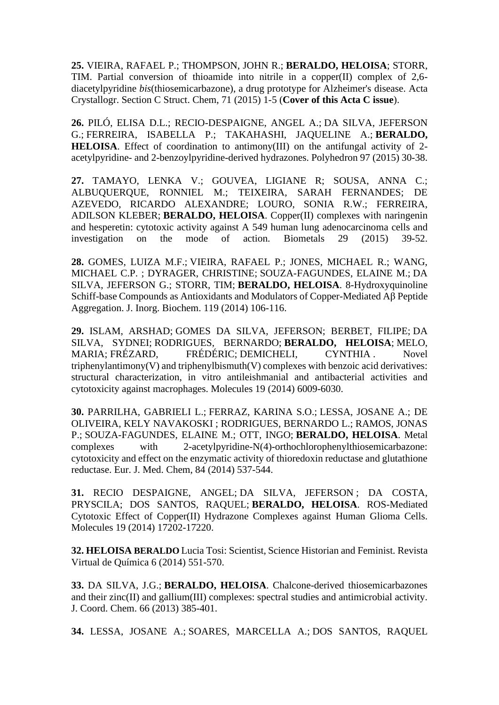**25.** VIEIRA, [RAFAEL](http://lattes.cnpq.br/2300064372165096) P.; THOMPSON, JOHN R.; **BERALDO, HELOISA**; STORR, TIM. Partial conversion of thioamide into nitrile in a copper(II) complex of 2,6 diacetylpyridine *bis*(thiosemicarbazone), a drug prototype for Alzheimer's disease. Acta Crystallogr. Section C Struct. Chem, 71 (2015) 1-5 (**Cover of this Acta C issue**).

**26.** PILÓ, ELISA D.L.; RECIO-DESPAIGNE, ANGEL A.; DA SILVA, [JEFERSON](http://lattes.cnpq.br/4049419303742888) [G.;](http://lattes.cnpq.br/4049419303742888) [FERREIRA,](http://lattes.cnpq.br/4260734232382167) ISABELLA P.; TAKAHASHI, JAQUELINE A.; **BERALDO, HELOISA**. Effect of coordination to antimony(III) on the antifungal activity of 2 acetylpyridine- and 2-benzoylpyridine-derived hydrazones. Polyhedron 97 (2015) 30-38.

**27.** TAMAYO, LENKA V.; GOUVEA, LIGIANE R; SOUSA, ANNA C.; ALBUQUERQUE, RONNIEL M.; TEIXEIRA, SARAH FERNANDES; DE AZEVEDO, RICARDO ALEXANDRE; LOURO, SONIA R.W.; FERREIRA, ADILSON KLEBER; **BERALDO, HELOISA**. Copper(II) complexes with naringenin and hesperetin: cytotoxic activity against A 549 human lung adenocarcinoma cells and investigation on the mode of action. Biometals 29 (2015) 39-52.

**28.** [GOMES,](http://lattes.cnpq.br/2528313474535288) LUIZA M.F.; VIEIRA, [RAFAEL](http://lattes.cnpq.br/2300064372165096) P.; JONES, MICHAEL R.; WANG, MICHAEL C.P. ; DYRAGER, CHRISTINE; [SOUZA-FAGUNDES,](http://lattes.cnpq.br/6275124345922194) ELAINE M.; [DA](http://lattes.cnpq.br/4049419303742888) SILVA, [JEFERSON](http://lattes.cnpq.br/4049419303742888) G.; STORR, TIM; **BERALDO, HELOISA**. 8-Hydroxyquinoline Schiff-base Compounds as Antioxidants and Modulators of Copper-Mediated Aβ Peptide Aggregation. J. Inorg. Biochem. 119 (2014) 106-116.

**29.** ISLAM, ARSHAD; GOMES DA SILVA, [JEFERSON;](http://lattes.cnpq.br/4049419303742888) BERBET, FILIPE; [DA](http://lattes.cnpq.br/0647393600003621) SILVA, [SYDNEI;](http://lattes.cnpq.br/0647393600003621) [RODRIGUES,](http://lattes.cnpq.br/6915714261651875) BERNARDO; **BERALDO, HELOISA**; [MELO,](http://lattes.cnpq.br/1015684335679217) [MARIA;](http://lattes.cnpq.br/1015684335679217) FRÉZARD, [FRÉDÉRIC;](http://lattes.cnpq.br/1339716092644256) [DEMICHELI,](http://lattes.cnpq.br/3146161136791377) CYNTHIA . Novel  $triphenylantimony(V)$  and triphenylbismuth $(V)$  complexes with benzoic acid derivatives: structural characterization, in vitro antileishmanial and antibacterial activities and cytotoxicity against macrophages. Molecules 19 (2014) 6009-6030.

**30.** [PARRILHA,](http://lattes.cnpq.br/1443338732472269) GABRIELI L.; [FERRAZ,](http://lattes.cnpq.br/7883320122076290) KARINA S.O.; LESSA, [JOSANE](http://lattes.cnpq.br/8402296847454322) A.; DE OLIVEIRA, KELY NAVAKOSKI ; [RODRIGUES,](http://lattes.cnpq.br/6915714261651875) BERNARDO L.; RAMOS, JONAS P.; [SOUZA-FAGUNDES,](http://lattes.cnpq.br/6275124345922194) ELAINE M.; OTT, INGO; **BERALDO, HELOISA**. Metal complexes with 2-acetylpyridine-N(4)-orthochlorophenylthiosemicarbazone: cytotoxicity and effect on the enzymatic activity of thioredoxin reductase and glutathione reductase. Eur. J. Med. Chem, 84 (2014) 537-544.

**31.** RECIO DESPAIGNE, ANGEL; DA SILVA, [JEFERSON](http://lattes.cnpq.br/4049419303742888) ; DA COSTA, PRYSCILA; DOS SANTOS, RAQUEL; **BERALDO, HELOISA**. ROS-Mediated Cytotoxic Effect of Copper(II) Hydrazone Complexes against Human Glioma Cells. Molecules 19 (2014) 17202-17220.

**32. HELOISA BERALDO** Lucia Tosi: Scientist, Science Historian and Feminist. Revista Virtual de Química 6 (2014) 551-570.

**33.** DA [SILVA,](http://lattes.cnpq.br/4049419303742888) J.G.; **BERALDO, HELOISA**. Chalcone-derived thiosemicarbazones and their zinc(II) and gallium(III) complexes: spectral studies and antimicrobial activity. J. Coord. Chem. 66 (2013) 385-401.

**34.** LESSA, [JOSANE](http://lattes.cnpq.br/8402296847454322) A.; SOARES, [MARCELLA](http://lattes.cnpq.br/6420135421404723) A.; DOS [SANTOS,](http://lattes.cnpq.br/4312378630155156) RAQUEL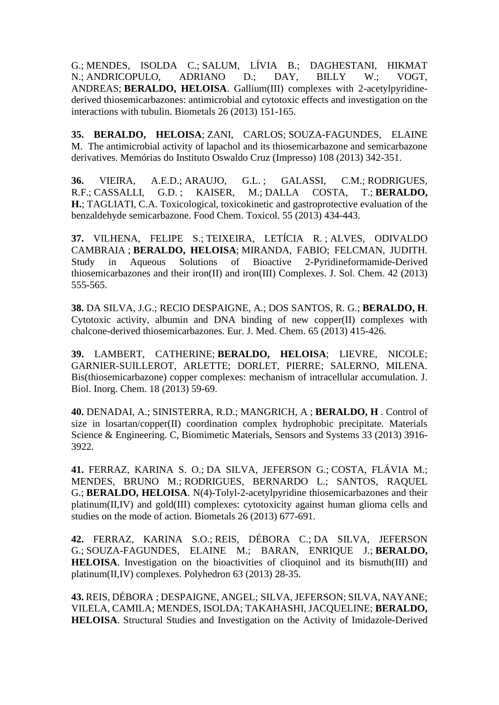[G.;](http://lattes.cnpq.br/4312378630155156) [MENDES,](http://lattes.cnpq.br/8218059267505950) ISOLDA C.; [SALUM,](http://lattes.cnpq.br/2945837904680698) LÍVIA B.; DAGHESTANI, HIKMAT N.; [ANDRICOPULO,](http://lattes.cnpq.br/5598322661148873) ADRIANO D.; DAY, BILLY W.; VOGT, ANDREAS; **BERALDO, HELOISA**. Gallium(III) complexes with 2-acetylpyridinederived thiosemicarbazones: antimicrobial and cytotoxic effects and investigation on the interactions with tubulin. Biometals 26 (2013) 151-165.

**35. [BERALDO,](http://lattes.cnpq.br/8218059267505950) HELOISA**; [ZANI,](http://lattes.cnpq.br/0714208971609666) CARLOS; [SOUZA-FAGUNDES,](http://lattes.cnpq.br/6275124345922194) ELAINE [M.](http://lattes.cnpq.br/6275124345922194) The antimicrobial activity of lapachol and its thiosemicarbazone and semicarbazone derivatives. Memórias do Instituto Oswaldo Cruz (Impresso) 108 (2013) 342-351.

**36.** [VIEIRA,](http://lattes.cnpq.br/6526472594743864) A.E.D.; [ARAUJO,](http://lattes.cnpq.br/8219556282787082) G.L. ; GALASSI, C.M.; [RODRIGUES,](http://lattes.cnpq.br/1491232670261473) [R.F.;](http://lattes.cnpq.br/1491232670261473) [CASSALLI,](http://lattes.cnpq.br/5921185698230768) G.D. ; KAISER, M.; DALLA [COSTA,](http://lattes.cnpq.br/3345924324711668) T.; **BERALDO, H.**; [TAGLIATI,](http://lattes.cnpq.br/8464038725747139) C.A. Toxicological, toxicokinetic and gastroprotective evaluation of the benzaldehyde semicarbazone. Food Chem. Toxicol. 55 (2013) 434-443.

**37.** [VILHENA,](http://lattes.cnpq.br/1703174099624946) FELIPE S.; [TEIXEIRA,](http://lattes.cnpq.br/8218059267505950) LETÍCIA R. ; ALVES, [ODIVALDO](http://lattes.cnpq.br/0110389852413203) [CAMBRAIA](http://lattes.cnpq.br/0110389852413203) ; **BERALDO, HELOISA**; [MIRANDA,](http://lattes.cnpq.br/3013640058442152) FABIO; FELCMAN, JUDITH. Study in Aqueous Solutions of Bioactive 2-Pyridineformamide-Derived thiosemicarbazones and their iron(II) and iron(III) Complexes. J. Sol. Chem. 42 (2013) 555-565.

**38.** DA [SILVA,](http://lattes.cnpq.br/4049419303742888) J.G.; RECIO [DESPAIGNE,](http://lattes.cnpq.br/4240369058617665) A.; DOS [SANTOS,](http://lattes.cnpq.br/4312378630155156) R. G.; **BERALDO, H**. Cytotoxic activity, albumin and DNA binding of new copper(II) complexes with chalcone-derived thiosemicarbazones. Eur. J. Med. Chem. 65 (2013) 415-426.

**39.** LAMBERT, CATHERINE; **BERALDO, HELOISA**; LIEVRE, NICOLE; GARNIER-SUILLEROT, ARLETTE; DORLET, PIERRE; SALERNO, MILENA. Bis(thiosemicarbazone) copper complexes: mechanism of intracellular accumulation. J. Biol. Inorg. Chem. 18 (2013) 59-69.

**40.** [DENADAI,](http://lattes.cnpq.br/5576033965386660) A.; [SINISTERRA,](http://lattes.cnpq.br/0569614713880200) R.D.; [MANGRICH,](http://lattes.cnpq.br/3935366222752874) A ; **BERALDO, H** . Control of size in losartan/copper(II) coordination complex hydrophobic precipitate. Materials Science & Engineering. C, Biomimetic Materials, Sensors and Systems 33 (2013) 3916- 3922.

**41.** [FERRAZ,](http://lattes.cnpq.br/7883320122076290) KARINA S. O.; DA SILVA, [JEFERSON](http://lattes.cnpq.br/4049419303742888) G.; COSTA, [FLÁVIA](http://lattes.cnpq.br/3563110762175276) M.; MENDES, BRUNO M.; [RODRIGUES,](http://lattes.cnpq.br/6915714261651875) BERNARDO L.; SANTOS, RAQUEL G.; **BERALDO, HELOISA**. N(4)-Tolyl-2-acetylpyridine thiosemicarbazones and their platinum(II,IV) and gold(III) complexes: cytotoxicity against human glioma cells and studies on the mode of action. Biometals 26 (2013) 677-691.

**42.** [FERRAZ,](http://lattes.cnpq.br/7883320122076290) KARINA S.O.; REIS, [DÉBORA](http://lattes.cnpq.br/5311422475692708) C.; DA SILVA, [JEFERSON](http://lattes.cnpq.br/4049419303742888) [G.;](http://lattes.cnpq.br/4049419303742888) [SOUZA-FAGUNDES,](http://lattes.cnpq.br/6275124345922194) ELAINE M.; BARAN, ENRIQUE J.; **BERALDO, HELOISA**. Investigation on the bioactivities of clioquinol and its bismuth(III) and platinum(II,IV) complexes. Polyhedron 63 (2013) 28-35.

**43.** REIS, [DÉBORA](http://lattes.cnpq.br/5311422475692708) ; DESPAIGNE, ANGEL; SILVA, [JEFERSON;](http://lattes.cnpq.br/4049419303742888) SILVA, NAYANE; VILELA, CAMILA; [MENDES,](http://lattes.cnpq.br/4135519633437150) ISOLDA; TAKAHASHI, JACQUELINE; **BERALDO, HELOISA**. Structural Studies and Investigation on the Activity of Imidazole-Derived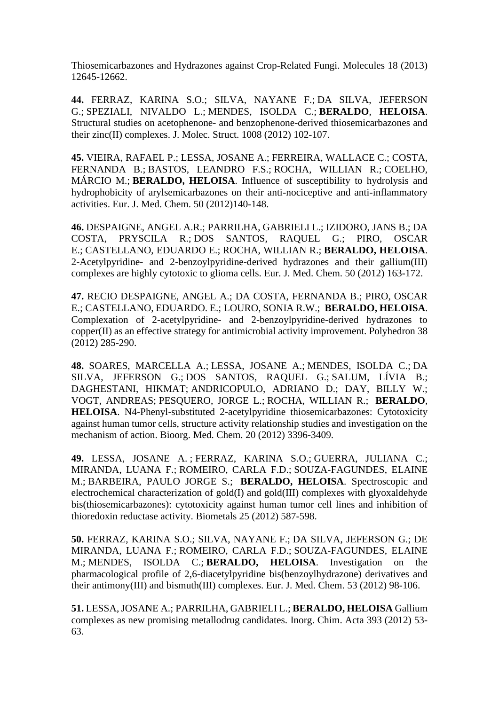Thiosemicarbazones and Hydrazones against Crop-Related Fungi. Molecules 18 (2013) 12645-12662.

**44.** [FERRAZ,](http://lattes.cnpq.br/7883320122076290) KARINA S.O.; SILVA, NAYANE F.; DA SILVA, [JEFERSON](http://lattes.cnpq.br/4049419303742888) [G.;](http://lattes.cnpq.br/4049419303742888) [SPEZIALI,](http://lattes.cnpq.br/2287316756049448) NIVALDO L.; [MENDES,](http://lattes.cnpq.br/4135519633437150) ISOLDA C.; **[BERALDO](http://lattes.cnpq.br/8218059267505950)**, **HELOISA**. Structural studies on acetophenone- and benzophenone-derived thiosemicarbazones and their zinc(II) complexes. J. Molec. Struct. 1008 (2012) 102-107.

**45.** VIEIRA, [RAFAEL](http://lattes.cnpq.br/2300064372165096) P.; LESSA, [JOSANE](http://lattes.cnpq.br/8402296847454322) A.; [FERREIRA,](http://lattes.cnpq.br/7818267113735612) WALLACE C.; COSTA, FERNANDA B.; BASTOS, [LEANDRO](http://lattes.cnpq.br/4254171415479020) F.S.; ROCHA, [WILLIAN](http://lattes.cnpq.br/5873636553295704) R.; [COELHO,](http://lattes.cnpq.br/4618940866590929) [MÁRCIO](http://lattes.cnpq.br/4618940866590929) M.; **[BERALDO,](http://lattes.cnpq.br/8218059267505950) HELOISA**. Influence of susceptibility to hydrolysis and hydrophobicity of arylsemicarbazones on their anti-nociceptive and anti-inflammatory activities. Eur. J. Med. Chem. 50 (2012)140-148.

**46.** [DESPAIGNE,](http://lattes.cnpq.br/4240369058617665) ANGEL A.R.; [PARRILHA,](http://lattes.cnpq.br/1443338732472269) GABRIELI L.; IZIDORO, JANS B.; [DA](http://lattes.cnpq.br/2284410108731333) COSTA, [PRYSCILA](http://lattes.cnpq.br/2284410108731333) R.; DOS [SANTOS,](http://lattes.cnpq.br/4312378630155156) RAQUEL G.; PIRO, OSCAR E.; [CASTELLANO,](http://lattes.cnpq.br/7416526225245942) EDUARDO E.; ROCHA, [WILLIAN](http://lattes.cnpq.br/5873636553295704) R.; **[BERALDO,](http://lattes.cnpq.br/8218059267505950) HELOISA**. 2-Acetylpyridine- and 2-benzoylpyridine-derived hydrazones and their gallium(III) complexes are highly cytotoxic to glioma cells. Eur. J. Med. Chem. 50 (2012) 163-172.

**47.** RECIO [DESPAIGNE,](http://lattes.cnpq.br/4240369058617665) ANGEL A.; DA COSTA, FERNANDA B.; PIRO, OSCAR E.; [CASTELLANO,](http://lattes.cnpq.br/7416526225245942) EDUARDO. E.; [LOURO,](http://lattes.cnpq.br/6450292906586525) SONIA R.W.; **[BERALDO,](http://lattes.cnpq.br/8218059267505950) HELOISA**. Complexation of 2-acetylpyridine- and 2-benzoylpyridine-derived hydrazones to copper(II) as an effective strategy for antimicrobial activity improvement. Polyhedron 38 (2012) 285-290.

**48.** SOARES, [MARCELLA](http://lattes.cnpq.br/6420135421404723) A.; LESSA, [JOSANE](http://lattes.cnpq.br/8402296847454322) A.; [MENDES,](http://lattes.cnpq.br/4135519633437150) ISOLDA C.; [DA](http://lattes.cnpq.br/4049419303742888) SILVA, [JEFERSON](http://lattes.cnpq.br/4049419303742888) G.; DOS [SANTOS,](http://lattes.cnpq.br/4312378630155156) RAQUEL G.; [SALUM,](http://lattes.cnpq.br/2945837904680698) LÍVIA B.; DAGHESTANI, HIKMAT; [ANDRICOPULO,](http://lattes.cnpq.br/5598322661148873) ADRIANO D.; DAY, BILLY W.; VOGT, ANDREAS; [PESQUERO,](http://lattes.cnpq.br/4195433401073024) JORGE L.; ROCHA, [WILLIAN](http://lattes.cnpq.br/5873636553295704) R.; **[BERALDO](http://lattes.cnpq.br/8218059267505950)**, **HELOISA**. N4-Phenyl-substituted 2-acetylpyridine thiosemicarbazones: Cytotoxicity against human tumor cells, structure activity relationship studies and investigation on the mechanism of action. Bioorg. Med. Chem. 20 (2012) 3396-3409.

**49.** LESSA, [JOSANE](http://lattes.cnpq.br/8402296847454322) A. ; [FERRAZ,](http://lattes.cnpq.br/7883320122076290) KARINA S.O.; [GUERRA,](http://lattes.cnpq.br/6242993689847171) JULIANA C.; MIRANDA, LUANA F.; [ROMEIRO,](http://lattes.cnpq.br/2769059147261492) CARLA F.D.; [SOUZA-FAGUNDES,](http://lattes.cnpq.br/6275124345922194) ELAINE [M.;](http://lattes.cnpq.br/6275124345922194) [BARBEIRA,](http://lattes.cnpq.br/5066507953850467) PAULO JORGE S.; **[BERALDO,](http://lattes.cnpq.br/8218059267505950) HELOISA**. Spectroscopic and electrochemical characterization of gold(I) and gold(III) complexes with glyoxaldehyde bis(thiosemicarbazones): cytotoxicity against human tumor cell lines and inhibition of thioredoxin reductase activity. Biometals 25 (2012) 587-598.

**50.** [FERRAZ,](http://lattes.cnpq.br/7883320122076290) KARINA S.O.; SILVA, NAYANE F.; DA SILVA, [JEFERSON](http://lattes.cnpq.br/4049419303742888) G.; DE MIRANDA, LUANA F.; [ROMEIRO,](http://lattes.cnpq.br/2769059147261492) CARLA F.D.; [SOUZA-FAGUNDES,](http://lattes.cnpq.br/6275124345922194) ELAINE [M.;](http://lattes.cnpq.br/6275124345922194) [MENDES,](http://lattes.cnpq.br/4135519633437150) ISOLDA C.; **[BERALDO,](http://lattes.cnpq.br/8218059267505950) HELOISA**. Investigation on the pharmacological profile of 2,6-diacetylpyridine bis(benzoylhydrazone) derivatives and their antimony(III) and bismuth(III) complexes. Eur. J. Med. Chem. 53 (2012) 98-106.

**51.** LESSA, [JOSANE](http://lattes.cnpq.br/8402296847454322) A.; [PARRILHA,](http://lattes.cnpq.br/1443338732472269) GABRIELI L.; **BERALDO, HELOISA** Gallium complexes as new promising metallodrug candidates. Inorg. Chim. Acta 393 (2012) 53- 63.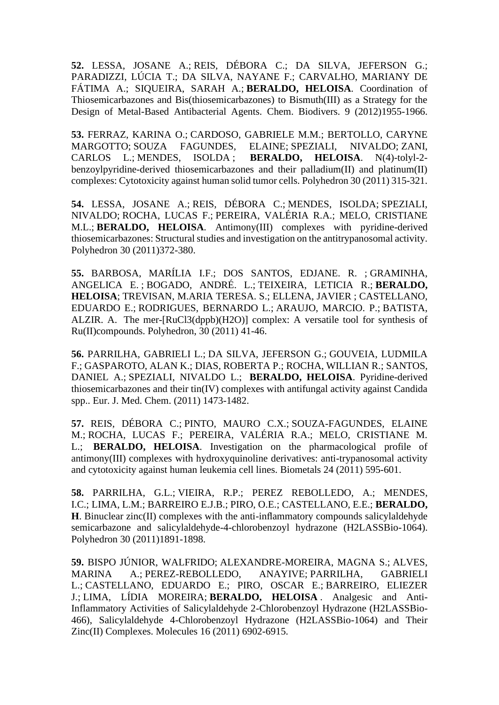**52.** LESSA, [JOSANE](http://lattes.cnpq.br/8402296847454322) A.; REIS, [DÉBORA](http://lattes.cnpq.br/5311422475692708) C.; DA SILVA, JEFERSON G.; PARADIZZI, LÚCIA T.; DA SILVA, NAYANE F.; CARVALHO, MARIANY DE FÁTIMA A.; SIQUEIRA, SARAH A.; **BERALDO, HELOISA**. Coordination of Thiosemicarbazones and Bis(thiosemicarbazones) to Bismuth(III) as a Strategy for the Design of Metal-Based Antibacterial Agents. Chem. Biodivers. 9 (2012)1955-1966.

**53.** [FERRAZ,](http://lattes.cnpq.br/7883320122076290) KARINA O.; [CARDOSO,](http://lattes.cnpq.br/6834451037855643) GABRIELE M.M.; BERTOLLO, CARYNE MARGOTTO; SOUZA [FAGUNDES,](http://lattes.cnpq.br/6275124345922194) ELAINE; SPEZIALI, [NIVALDO;](http://lattes.cnpq.br/2287316756049448) [ZANI,](http://lattes.cnpq.br/0714208971609666) [CARLOS](http://lattes.cnpq.br/0714208971609666) L.; [MENDES,](http://lattes.cnpq.br/4135519633437150) ISOLDA ; **[BERALDO,](http://lattes.cnpq.br/8218059267505950) HELOISA**. N(4)-tolyl-2 benzoylpyridine-derived thiosemicarbazones and their palladium(II) and platinum(II) complexes: Cytotoxicity against human solid tumor cells. Polyhedron 30 (2011) 315-321.

**54.** LESSA, [JOSANE](http://lattes.cnpq.br/8402296847454322) A.; REIS, [DÉBORA](http://lattes.cnpq.br/5311422475692708) C.; [MENDES,](http://lattes.cnpq.br/4135519633437150) ISOLDA; [SPEZIALI,](http://lattes.cnpq.br/2287316756049448) [NIVALDO;](http://lattes.cnpq.br/2287316756049448) [ROCHA,](http://lattes.cnpq.br/2518496016527910) LUCAS F.; [PEREIRA,](http://lattes.cnpq.br/9260270756078209) VALÉRIA R.A.; MELO, CRISTIANE M.L.; **[BERALDO,](http://lattes.cnpq.br/8218059267505950) HELOISA**. Antimony(III) complexes with pyridine-derived thiosemicarbazones: Structural studies and investigation on the antitrypanosomal activity. Polyhedron 30 (2011)372-380.

**55.** [BARBOSA,](http://lattes.cnpq.br/4629917779644809) MARÍLIA I.F.; DOS SANTOS, EDJANE. R. ; [GRAMINHA,](http://lattes.cnpq.br/5346291554255235) [ANGELICA](http://lattes.cnpq.br/5346291554255235) E. ; [BOGADO,](http://lattes.cnpq.br/6327438225583361) ANDRÉ. L.; [TEIXEIRA,](http://lattes.cnpq.br/3150790447778819) LETICIA R.; **[BERALDO,](http://lattes.cnpq.br/8218059267505950) HELOISA**; [TREVISAN,](http://lattes.cnpq.br/9109195307461296) M.ARIA TERESA. S.; [ELLENA,](http://lattes.cnpq.br/6309436191619392) JAVIER ; [CASTELLANO,](http://lattes.cnpq.br/7416526225245942) [EDUARDO](http://lattes.cnpq.br/7416526225245942) E.; [RODRIGUES,](http://lattes.cnpq.br/6915714261651875) BERNARDO L.; ARAUJO, [MARCIO.](http://lattes.cnpq.br/5430642441360057) P.; [BATISTA,](http://lattes.cnpq.br/6469642481998660) [ALZIR.](http://lattes.cnpq.br/6469642481998660) A. The mer-[RuCl3(dppb)(H2O)] complex: A versatile tool for synthesis of Ru(II)compounds. Polyhedron, 30 (2011) 41-46.

**56.** [PARRILHA,](http://lattes.cnpq.br/1443338732472269) GABRIELI L.; DA SILVA, [JEFERSON](http://lattes.cnpq.br/4049419303742888) G.; [GOUVEIA,](http://lattes.cnpq.br/6864491560184613) LUDMILA [F.;](http://lattes.cnpq.br/6864491560184613) GASPAROTO, ALAN K.; DIAS, [ROBERTA](http://lattes.cnpq.br/6601543555585042) P.; ROCHA, [WILLIAN](http://lattes.cnpq.br/5873636553295704) R.; [SANTOS,](http://lattes.cnpq.br/8594246013269311) [DANIEL](http://lattes.cnpq.br/8594246013269311) A.; [SPEZIALI,](http://lattes.cnpq.br/2287316756049448) NIVALDO L.; **[BERALDO,](http://lattes.cnpq.br/8218059267505950) HELOISA**. Pyridine-derived thiosemicarbazones and their tin(IV) complexes with antifungal activity against Candida spp.. Eur. J. Med. Chem. (2011) 1473-1482.

**57.** REIS, [DÉBORA](http://lattes.cnpq.br/5311422475692708) C.; PINTO, [MAURO](http://lattes.cnpq.br/0868250984727943) C.X.; [SOUZA-FAGUNDES,](http://lattes.cnpq.br/6275124345922194) ELAINE [M.;](http://lattes.cnpq.br/6275124345922194) [ROCHA,](http://lattes.cnpq.br/2518496016527910) LUCAS F.; PEREIRA, VALÉRIA R.A.; MELO, CRISTIANE M. L.; **[BERALDO,](http://lattes.cnpq.br/8218059267505950) HELOISA**. Investigation on the pharmacological profile of antimony(III) complexes with hydroxyquinoline derivatives: anti-trypanosomal activity and cytotoxicity against human leukemia cell lines. Biometals 24 (2011) 595-601.

**58.** [PARRILHA,](http://lattes.cnpq.br/1443338732472269) G.L.; [VIEIRA,](http://lattes.cnpq.br/2300064372165096) R.P.; PEREZ REBOLLEDO, A.; MENDES, I.C.; [LIMA,](http://lattes.cnpq.br/3986190995983234) L.M.; [BARREIRO](http://lattes.cnpq.br/5942068988379022) E.J.B.; PIRO, O.E.; [CASTELLANO,](http://lattes.cnpq.br/7416526225245942) E.E.; **[BERALDO,](http://lattes.cnpq.br/8218059267505950) H**. Binuclear zinc(II) complexes with the anti-inflammatory compounds salicylaldehyde semicarbazone and salicylaldehyde-4-chlorobenzoyl hydrazone (H2LASSBio-1064). Polyhedron 30 (2011)1891-1898.

**59.** BISPO JÚNIOR, WALFRIDO; [ALEXANDRE-MOREIRA,](http://lattes.cnpq.br/1313843948155733) MAGNA S.; [ALVES,](http://lattes.cnpq.br/0945374845574106) [MARINA](http://lattes.cnpq.br/0945374845574106) A.; [PEREZ-REBOLLEDO,](http://lattes.cnpq.br/2120467678731136) ANAYIVE; [PARRILHA,](http://lattes.cnpq.br/1443338732472269) GABRIELI [L.;](http://lattes.cnpq.br/1443338732472269) [CASTELLANO,](http://lattes.cnpq.br/7416526225245942) EDUARDO E.; PIRO, OSCAR E.; [BARREIRO,](http://lattes.cnpq.br/5942068988379022) ELIEZER [J.;](http://lattes.cnpq.br/5942068988379022) LIMA, LÍDIA [MOREIRA;](http://lattes.cnpq.br/3986190995983234) **[BERALDO,](http://lattes.cnpq.br/8218059267505950) HELOISA** . Analgesic and Anti-Inflammatory Activities of Salicylaldehyde 2-Chlorobenzoyl Hydrazone (H2LASSBio-466), Salicylaldehyde 4-Chlorobenzoyl Hydrazone (H2LASSBio-1064) and Their Zinc(II) Complexes. Molecules 16 (2011) 6902-6915.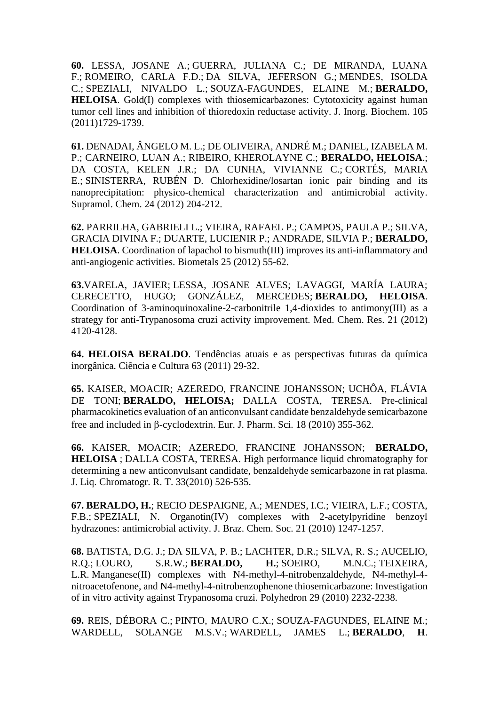**60.** LESSA, [JOSANE](http://lattes.cnpq.br/8402296847454322) A.; [GUERRA,](http://lattes.cnpq.br/6242993689847171) JULIANA C.; DE MIRANDA, LUANA F.; [ROMEIRO,](http://lattes.cnpq.br/2769059147261492) CARLA F.D.; DA SILVA, [JEFERSON](http://lattes.cnpq.br/4049419303742888) G.; [MENDES,](http://lattes.cnpq.br/4135519633437150) ISOLDA [C.;](http://lattes.cnpq.br/4135519633437150) [SPEZIALI,](http://lattes.cnpq.br/2287316756049448) NIVALDO L.; [SOUZA-FAGUNDES,](http://lattes.cnpq.br/6275124345922194) ELAINE M.; **[BERALDO,](http://lattes.cnpq.br/8218059267505950) HELOISA.** Gold(I) complexes with thiosemicarbazones: Cytotoxicity against human tumor cell lines and inhibition of thioredoxin reductase activity. J. Inorg. Biochem. 105 (2011)1729-1739.

**61.** [DENADAI,](http://lattes.cnpq.br/5576033965386660) ÂNGELO M. L.; DE OLIVEIRA, ANDRÉ M.; DANIEL, IZABELA M. P.; CARNEIRO, LUAN A.; RIBEIRO, KHEROLAYNE C.; **[BERALDO,](http://lattes.cnpq.br/8218059267505950) HELOISA**.; DA COSTA, KELEN J.R.; DA CUNHA, VIVIANNE C.; [CORTÉS,](http://lattes.cnpq.br/0950030473818532) MARIA [E.;](http://lattes.cnpq.br/0950030473818532) [SINISTERRA,](http://lattes.cnpq.br/0569614713880200) RUBÉN D. Chlorhexidine/losartan ionic pair binding and its nanoprecipitation: physico-chemical characterization and antimicrobial activity. Supramol. Chem. 24 (2012) 204-212.

**62.** [PARRILHA,](http://lattes.cnpq.br/1443338732472269) GABRIELI L.; VIEIRA, [RAFAEL](http://lattes.cnpq.br/2300064372165096) P.; [CAMPOS,](http://lattes.cnpq.br/4474187024001134) PAULA P.; SILVA, GRACIA DIVINA F.; DUARTE, [LUCIENIR](http://lattes.cnpq.br/8518098370099915) P.; [ANDRADE,](http://lattes.cnpq.br/6317089230891526) SILVIA P.; **[BERALDO,](http://lattes.cnpq.br/8218059267505950) HELOISA**. Coordination of lapachol to bismuth(III) improves its anti-inflammatory and anti-angiogenic activities. Biometals 25 (2012) 55-62.

**63.**VARELA, JAVIER; LESSA, [JOSANE](http://lattes.cnpq.br/8402296847454322) ALVES; LAVAGGI, MARÍA LAURA; CERECETTO, HUGO; GONZÁLEZ, MERCEDES; **[BERALDO,](http://lattes.cnpq.br/8218059267505950) HELOISA**. Coordination of 3-aminoquinoxaline-2-carbonitrile 1,4-dioxides to antimony(III) as a strategy for anti-Trypanosoma cruzi activity improvement. Med. Chem. Res. 21 (2012) 4120-4128.

**64. HELOISA [BERALDO](http://lattes.cnpq.br/8218059267505950)**. Tendências atuais e as perspectivas futuras da química inorgânica. Ciência e Cultura 63 (2011) 29-32.

**65.** KAISER, MOACIR; AZEREDO, FRANCINE JOHANSSON; UCHÔA, FLÁVIA DE TONI; **[BERALDO,](http://lattes.cnpq.br/8218059267505950) HELOISA;** DALLA COSTA, [TERESA.](http://lattes.cnpq.br/3345924324711668) Pre-clinical pharmacokinetics evaluation of an anticonvulsant candidate benzaldehyde semicarbazone free and included in  $\beta$ -cyclodextrin. Eur. J. Pharm. Sci. 18 (2010) 355-362.

**66.** KAISER, MOACIR; AZEREDO, FRANCINE JOHANSSON; **[BERALDO,](http://lattes.cnpq.br/8218059267505950) HELOISA** ; DALLA COSTA, [TERESA.](http://lattes.cnpq.br/3345924324711668) High performance liquid chromatography for determining a new anticonvulsant candidate, benzaldehyde semicarbazone in rat plasma. J. Liq. Chromatogr. R. T. 33(2010) 526-535.

**67. [BERALDO,](http://lattes.cnpq.br/8218059267505950) H.**; RECIO [DESPAIGNE,](http://lattes.cnpq.br/4240369058617665) A.; [MENDES,](http://lattes.cnpq.br/4135519633437150) I.C.; [VIEIRA,](http://lattes.cnpq.br/4677750560967520) L.F.; COSTA, F.B.; [SPEZIALI,](http://lattes.cnpq.br/2287316756049448) N. Organotin(IV) complexes with 2-acetylpyridine benzoyl hydrazones: antimicrobial activity. J. Braz. Chem. Soc. 21 (2010) 1247-1257.

**68.** [BATISTA,](http://lattes.cnpq.br/4230213553950013) D.G. J.; DA SILVA, P. B.; LACHTER, D.R.; SILVA, R. S.; [AUCELIO,](http://lattes.cnpq.br/2792865766795939) [R.Q.;](http://lattes.cnpq.br/2792865766795939) [LOURO,](http://lattes.cnpq.br/6450292906586525) S.R.W.; **[BERALDO,](http://lattes.cnpq.br/8218059267505950) H.**; [SOEIRO,](http://lattes.cnpq.br/1225895689761854) M.N.C.; [TEIXEIRA,](http://lattes.cnpq.br/3150790447778819) [L.R.](http://lattes.cnpq.br/3150790447778819) Manganese(II) complexes with N4-methyl-4-nitrobenzaldehyde, N4-methyl-4 nitroacetofenone, and N4-methyl-4-nitrobenzophenone thiosemicarbazone: Investigation of in vitro activity against Trypanosoma cruzi. Polyhedron 29 (2010) 2232-2238.

**69.** REIS, [DÉBORA](http://lattes.cnpq.br/5311422475692708) C.; PINTO, [MAURO](http://lattes.cnpq.br/0868250984727943) C.X.; [SOUZA-FAGUNDES,](http://lattes.cnpq.br/6275124345922194) ELAINE M.; WARDELL, SOLANGE M.S.V.; [WARDELL,](http://lattes.cnpq.br/7824355906998335) JAMES L.; **[BERALDO](http://lattes.cnpq.br/8218059267505950)**, **H**.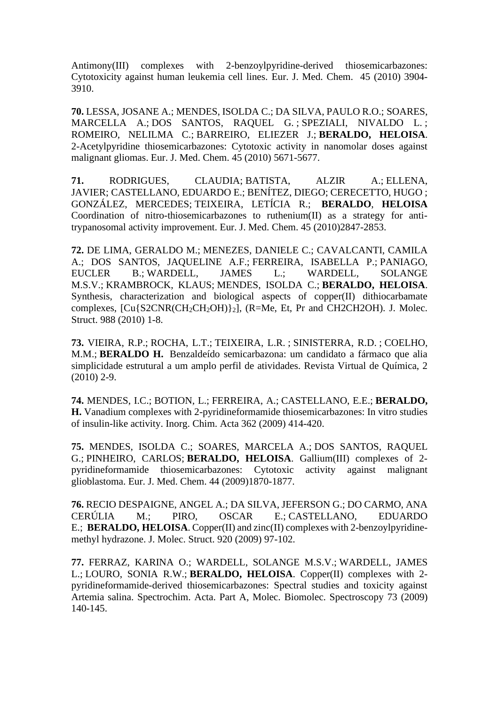Antimony(III) complexes with 2-benzoylpyridine-derived thiosemicarbazones: Cytotoxicity against human leukemia cell lines. Eur. J. Med. Chem. 45 (2010) 3904- 3910.

**70.** LESSA, [JOSANE](http://lattes.cnpq.br/8402296847454322) A.; [MENDES,](http://lattes.cnpq.br/4135519633437150) ISOLDA C.; DA SILVA, PAULO R.O.; [SOARES,](http://lattes.cnpq.br/6420135421404723) [MARCELLA](http://lattes.cnpq.br/6420135421404723) A.; DOS [SANTOS,](http://lattes.cnpq.br/4312378630155156) RAQUEL G. ; [SPEZIALI,](http://lattes.cnpq.br/2287316756049448) NIVALDO L. ; ROMEIRO, NELILMA C.; [BARREIRO,](http://lattes.cnpq.br/5942068988379022) ELIEZER J.; **[BERALDO,](http://lattes.cnpq.br/8218059267505950) HELOISA**. 2-Acetylpyridine thiosemicarbazones: Cytotoxic activity in nanomolar doses against malignant gliomas. Eur. J. Med. Chem. 45 (2010) 5671-5677.

**71.** [RODRIGUES,](http://lattes.cnpq.br/8800486122052253) CLAUDIA; [BATISTA,](http://lattes.cnpq.br/6469642481998660) ALZIR A.; [ELLENA,](http://lattes.cnpq.br/6309436191619392) [JAVIER;](http://lattes.cnpq.br/6309436191619392) [CASTELLANO,](http://lattes.cnpq.br/7416526225245942) EDUARDO E.; BENÍTEZ, DIEGO; CERECETTO, HUGO ; GONZÁLEZ, MERCEDES; [TEIXEIRA,](http://lattes.cnpq.br/3150790447778819) LETÍCIA R.; **[BERALDO](http://lattes.cnpq.br/8218059267505950)**, **HELOISA**  Coordination of nitro-thiosemicarbazones to ruthenium(II) as a strategy for antitrypanosomal activity improvement. Eur. J. Med. Chem. 45 (2010)2847-2853.

**72.** DE LIMA, [GERALDO](http://lattes.cnpq.br/8226529794937801) M.; [MENEZES,](http://lattes.cnpq.br/2766731810162413) DANIELE C.; CAVALCANTI, CAMILA A.; DOS SANTOS, JAQUELINE A.F.; [FERREIRA,](http://lattes.cnpq.br/4260734232382167) ISABELLA P.; [PANIAGO,](http://lattes.cnpq.br/3502740372130588) [EUCLER](http://lattes.cnpq.br/3502740372130588) B.; [WARDELL,](http://lattes.cnpq.br/7824355906998335) JAMES L.; WARDELL, SOLANGE M.S.V.; [KRAMBROCK,](http://lattes.cnpq.br/3513735339604253) KLAUS; [MENDES,](http://lattes.cnpq.br/4135519633437150) ISOLDA C.; **[BERALDO,](http://lattes.cnpq.br/8218059267505950) HELOISA**. Synthesis, characterization and biological aspects of copper(II) dithiocarbamate complexes,  $\text{[Cu} \{ \text{S2CNR} \text{(CH}_2\text{CH}_2\text{OH}) \}_2$ ],  $\text{(R=Me, Et, Pr and CH2CH2OH)}$ . J. Molec. Struct. 988 (2010) 1-8.

**73.** [VIEIRA,](http://lattes.cnpq.br/2300064372165096) R.P.; [ROCHA,](http://lattes.cnpq.br/1468341527530470) L.T.; [TEIXEIRA,](http://lattes.cnpq.br/3150790447778819) L.R. ; [SINISTERRA,](http://lattes.cnpq.br/0569614713880200) R.D. ; [COELHO,](http://lattes.cnpq.br/4618940866590929) [M.M.;](http://lattes.cnpq.br/4618940866590929) **BERALDO H.** Benzaldeído semicarbazona: um candidato a fármaco que alia simplicidade estrutural a um amplo perfil de atividades. Revista Virtual de Química, 2 (2010) 2-9.

**74.** [MENDES,](http://lattes.cnpq.br/6486792705300520) I.C.; [BOTION,](http://lattes.cnpq.br/7518464559673888) L.; [FERREIRA,](http://lattes.cnpq.br/1002230820162670) A.; [CASTELLANO,](http://lattes.cnpq.br/7416526225245942) E.E.; **[BERALDO,](http://lattes.cnpq.br/8218059267505950) H.** Vanadium complexes with 2-pyridineformamide thiosemicarbazones: In vitro studies of insulin-like activity. Inorg. Chim. Acta 362 (2009) 414-420.

**75.** [MENDES,](http://lattes.cnpq.br/4135519633437150) ISOLDA C.; SOARES, MARCELA A.; DOS [SANTOS,](http://lattes.cnpq.br/4312378630155156) RAQUEL [G.;](http://lattes.cnpq.br/4312378630155156) [PINHEIRO,](http://lattes.cnpq.br/9481262314079347) CARLOS; **[BERALDO,](http://lattes.cnpq.br/8218059267505950) HELOISA**. Gallium(III) complexes of 2 pyridineformamide thiosemicarbazones: Cytotoxic activity against malignant glioblastoma. Eur. J. Med. Chem. 44 (2009)1870-1877.

**76.** RECIO [DESPAIGNE,](http://lattes.cnpq.br/4240369058617665) ANGEL A.; DA SILVA, [JEFERSON](http://lattes.cnpq.br/4049419303742888) G.; DO CARMO, ANA CERÚLIA M.; PIRO, OSCAR E.; [CASTELLANO,](http://lattes.cnpq.br/7416526225245942) EDUARDO [E.;](http://lattes.cnpq.br/7416526225245942) **[BERALDO,](http://lattes.cnpq.br/8218059267505950) HELOISA**. Copper(II) and zinc(II) complexes with 2-benzoylpyridinemethyl hydrazone. J. Molec. Struct. 920 (2009) 97-102.

**77.** [FERRAZ,](http://lattes.cnpq.br/7883320122076290) KARINA O.; WARDELL, SOLANGE M.S.V.; [WARDELL,](http://lattes.cnpq.br/7824355906998335) JAMES [L.;](http://lattes.cnpq.br/7824355906998335) [LOURO,](http://lattes.cnpq.br/6450292906586525) SONIA R.W.; **[BERALDO,](http://lattes.cnpq.br/8218059267505950) HELOISA**. Copper(II) complexes with 2 pyridineformamide-derived thiosemicarbazones: Spectral studies and toxicity against Artemia salina. Spectrochim. Acta. Part A, Molec. Biomolec. Spectroscopy 73 (2009) 140-145.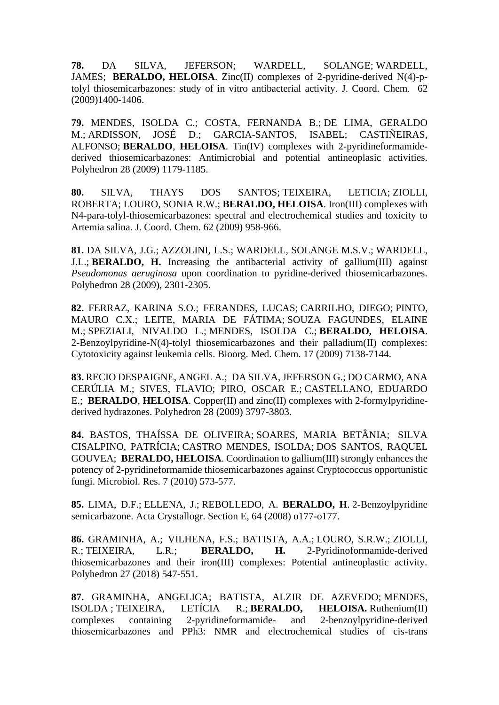**78.** DA SILVA, [JEFERSON;](http://lattes.cnpq.br/4049419303742888) WARDELL, SOLANGE; [WARDELL,](http://lattes.cnpq.br/7824355906998335) [JAMES;](http://lattes.cnpq.br/7824355906998335) **[BERALDO,](http://lattes.cnpq.br/8218059267505950) HELOISA**. Zinc(II) complexes of 2-pyridine-derived N(4)-ptolyl thiosemicarbazones: study of in vitro antibacterial activity. J. Coord. Chem. 62 (2009)1400-1406.

**79.** [MENDES,](http://lattes.cnpq.br/4135519633437150) ISOLDA C.; COSTA, FERNANDA B.; DE LIMA, [GERALDO](http://lattes.cnpq.br/8226529794937801) [M.;](http://lattes.cnpq.br/8226529794937801) [ARDISSON,](http://lattes.cnpq.br/6486792705300520) JOSÉ D.; GARCIA-SANTOS, ISABEL; CASTIÑEIRAS, ALFONSO; **[BERALDO](http://lattes.cnpq.br/8218059267505950)**, **HELOISA**. Tin(IV) complexes with 2-pyridineformamidederived thiosemicarbazones: Antimicrobial and potential antineoplasic activities. Polyhedron 28 (2009) 1179-1185.

**80.** SILVA, THAYS DOS [SANTOS;](http://lattes.cnpq.br/4032792823570064) [TEIXEIRA,](http://lattes.cnpq.br/3150790447778819) LETICIA; [ZIOLLI,](http://lattes.cnpq.br/1755140611499739) [ROBERTA;](http://lattes.cnpq.br/1755140611499739) [LOURO,](http://lattes.cnpq.br/6450292906586525) SONIA R.W.; **[BERALDO,](http://lattes.cnpq.br/8218059267505950) HELOISA**. Iron(III) complexes with N4-para-tolyl-thiosemicarbazones: spectral and electrochemical studies and toxicity to Artemia salina. J. Coord. Chem. 62 (2009) 958-966.

**81.** DA [SILVA,](http://lattes.cnpq.br/4049419303742888) J.G.; [AZZOLINI,](http://lattes.cnpq.br/5220154008327915) L.S.; WARDELL, SOLANGE M.S.V.; [WARDELL,](http://lattes.cnpq.br/7824355906998335) [J.L.;](http://lattes.cnpq.br/7824355906998335) **[BERALDO,](http://lattes.cnpq.br/8218059267505950) H.** Increasing the antibacterial activity of gallium(III) against *Pseudomonas aeruginosa* upon coordination to pyridine-derived thiosemicarbazones. Polyhedron 28 (2009), 2301-2305.

**82.** [FERRAZ,](http://lattes.cnpq.br/7883320122076290) KARINA S.O.; FERANDES, LUCAS; [CARRILHO,](http://lattes.cnpq.br/9232309449739695) DIEGO; [PINTO,](http://lattes.cnpq.br/0868250984727943) [MAURO](http://lattes.cnpq.br/0868250984727943) C.X.; LEITE, MARIA DE FÁTIMA; SOUZA [FAGUNDES,](http://lattes.cnpq.br/6275124345922194) ELAINE [M.;](http://lattes.cnpq.br/6275124345922194) [SPEZIALI,](http://lattes.cnpq.br/2287316756049448) NIVALDO L.; [MENDES,](http://lattes.cnpq.br/4135519633437150) ISOLDA C.; **[BERALDO,](http://lattes.cnpq.br/8218059267505950) HELOISA**. 2-Benzoylpyridine-N(4)-tolyl thiosemicarbazones and their palladium(II) complexes: Cytotoxicity against leukemia cells. Bioorg. Med. Chem. 17 (2009) 7138-7144.

**83.** RECIO [DESPAIGNE,](http://lattes.cnpq.br/4240369058617665) ANGEL A.; DA SILVA, [JEFERSON](http://lattes.cnpq.br/4049419303742888) G.; DO CARMO, ANA CERÚLIA M.; SIVES, FLAVIO; PIRO, OSCAR E.; [CASTELLANO,](http://lattes.cnpq.br/7416526225245942) EDUARDO [E.;](http://lattes.cnpq.br/7416526225245942) **[BERALDO](http://lattes.cnpq.br/8218059267505950)**, **HELOISA**. Copper(II) and zinc(II) complexes with 2-formylpyridinederived hydrazones. Polyhedron 28 (2009) 3797-3803.

**84.** BASTOS, THAÍSSA DE OLIVEIRA; SOARES, MARIA BETÂNI[A;](http://lattes.cnpq.br/4243260960828750) [SILVA](http://lattes.cnpq.br/1598206078326173) [CISALPINO,](http://lattes.cnpq.br/1598206078326173) PATRÍCIA; CASTRO [MENDES,](http://lattes.cnpq.br/4135519633437150) ISOLDA; DOS [SANTOS,](http://lattes.cnpq.br/4312378630155156) RAQUEL [GOUVEA;](http://lattes.cnpq.br/4312378630155156) **[BERALDO,](http://lattes.cnpq.br/8218059267505950) HELOISA**. Coordination to gallium(III) strongly enhances the potency of 2-pyridineformamide thiosemicarbazones against Cryptococcus opportunistic fungi. Microbiol. Res. 7 (2010) 573-577.

**85.** [LIMA,](http://lattes.cnpq.br/3471185093979268) D.F.; [ELLENA,](http://lattes.cnpq.br/6309436191619392) J.; [REBOLLEDO,](http://lattes.cnpq.br/2120467678731136) A. **BERALDO, H**. 2-Benzoylpyridine semicarbazone. Acta Crystallogr. Section E, 64 (2008) o177-o177.

**86.** [GRAMINHA,](http://lattes.cnpq.br/5346291554255235) A.; [VILHENA,](http://lattes.cnpq.br/1703174099624946) F.S.; BATISTA, A.A.; [LOURO,](http://lattes.cnpq.br/6450292906586525) S.R.W.; [ZIOLLI,](http://lattes.cnpq.br/1755140611499739) [R.;](http://lattes.cnpq.br/1755140611499739) [TEIXEIRA,](http://lattes.cnpq.br/3150790447778819) L.R.; **[BERALDO,](http://lattes.cnpq.br/8218059267505950) H.** 2-Pyridinoformamide-derived thiosemicarbazones and their iron(III) complexes: Potential antineoplastic activity. Polyhedron 27 (2018) 547-551.

**87.** [GRAMINHA,](http://lattes.cnpq.br/5346291554255235) ANGELICA; BATISTA, ALZIR DE AZEVEDO; [MENDES,](http://lattes.cnpq.br/4135519633437150) [ISOLDA](http://lattes.cnpq.br/4135519633437150) ; [TEIXEIRA,](http://lattes.cnpq.br/3150790447778819) LETÍCIA R.; **[BERALDO,](http://lattes.cnpq.br/8218059267505950) HELOISA.** Ruthenium(II) complexes containing 2-pyridineformamide- and 2-benzoylpyridine-derived thiosemicarbazones and PPh3: NMR and electrochemical studies of cis-trans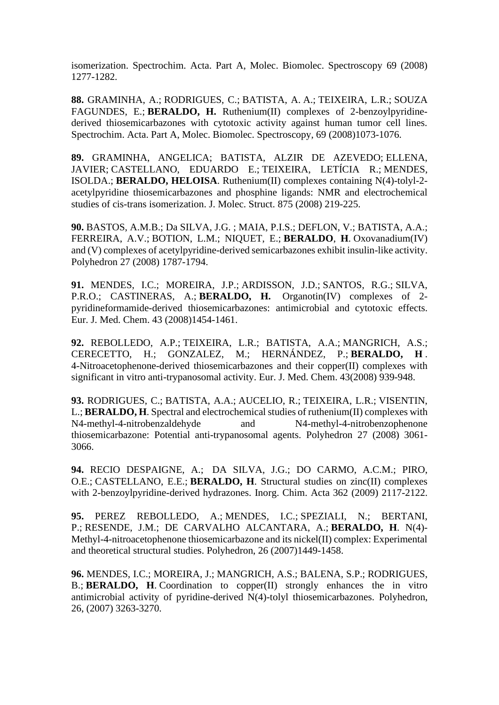isomerization. Spectrochim. Acta. Part A, Molec. Biomolec. Spectroscopy 69 (2008) 1277-1282.

**88.** GRAMINHA, A.; [RODRIGUES,](http://lattes.cnpq.br/8800486122052253) C.; [BATISTA,](http://lattes.cnpq.br/6469642481998660) A. A.; [TEIXEIRA,](http://lattes.cnpq.br/3150790447778819) L.R.; SOUZA [FAGUNDES,](http://lattes.cnpq.br/6275124345922194) E.; **[BERALDO,](http://lattes.cnpq.br/8218059267505950) H.** Ruthenium(II) complexes of 2-benzoylpyridinederived thiosemicarbazones with cytotoxic activity against human tumor cell lines. Spectrochim. Acta. Part A, Molec. Biomolec. Spectroscopy, 69 (2008)1073-1076.

**89.** [GRAMINHA,](http://lattes.cnpq.br/5346291554255235) ANGELICA; BATISTA, ALZIR DE AZEVEDO; [ELLENA,](http://lattes.cnpq.br/6309436191619392) [JAVIER;](http://lattes.cnpq.br/6309436191619392) [CASTELLANO,](http://lattes.cnpq.br/7416526225245942) EDUARDO E.; [TEIXEIRA,](http://lattes.cnpq.br/3150790447778819) LETÍCIA R.; [MENDES,](http://lattes.cnpq.br/6486792705300520) [ISOLDA.;](http://lattes.cnpq.br/6486792705300520) **[BERALDO,](http://lattes.cnpq.br/8218059267505950) HELOISA**. Ruthenium(II) complexes containing N(4)-tolyl-2 acetylpyridine thiosemicarbazones and phosphine ligands: NMR and electrochemical studies of cis-trans isomerization. J. Molec. Struct. 875 (2008) 219-225.

**90.** BASTOS, A.M.B.; Da [SILVA,](http://lattes.cnpq.br/4049419303742888) J.G. ; [MAIA,](http://lattes.cnpq.br/9442826065341422) P.I.S.; [DEFLON,](http://lattes.cnpq.br/8068967021078220) V.; BATISTA, A.A.; FERREIRA, A.V.; [BOTION,](http://lattes.cnpq.br/7518464559673888) L.M.; NIQUET, E.; **BERALDO**, **H**. Oxovanadium(IV) and (V) complexes of acetylpyridine-derived semicarbazones exhibit insulin-like activity. Polyhedron 27 (2008) 1787-1794.

**91.** [MENDES,](http://lattes.cnpq.br/4135519633437150) I.C.; MOREIRA, J.P.; [ARDISSON,](http://lattes.cnpq.br/6486792705300520) J.D.; [SANTOS,](http://lattes.cnpq.br/4312378630155156) R.G.; [SILVA,](http://lattes.cnpq.br/2301666749357333) [P.R.O.;](http://lattes.cnpq.br/2301666749357333) CASTINERAS, A.; **BERALDO, H.** Organotin(IV) complexes of 2 pyridineformamide-derived thiosemicarbazones: antimicrobial and cytotoxic effects. Eur. J. Med. Chem. 43 (2008)1454-1461.

**92.** [REBOLLEDO,](http://lattes.cnpq.br/2120467678731136) A.P.; [TEIXEIRA,](http://lattes.cnpq.br/3150790447778819) L.R.; BATISTA, A.A.; [MANGRICH,](http://lattes.cnpq.br/3935366222752874) A.S.; CERECETTO, H.; GONZALEZ, M.; HERNÁNDEZ, P.; **BERALDO, H** . 4-Nitroacetophenone-derived thiosemicarbazones and their copper(II) complexes with significant in vitro anti-trypanosomal activity. Eur. J. Med. Chem. 43(2008) 939-948.

**93.** [RODRIGUES,](http://lattes.cnpq.br/8800486122052253) C.; [BATISTA,](http://lattes.cnpq.br/6469642481998660) A.A.; [AUCELIO,](http://lattes.cnpq.br/2792865766795939) R.; [TEIXEIRA,](http://lattes.cnpq.br/3150790447778819) L.R.; [VISENTIN,](http://lattes.cnpq.br/6602490339479877) [L.](http://lattes.cnpq.br/6602490339479877); **BERALDO, H**. Spectral and electrochemical studies of ruthenium(II) complexes with N4-methyl-4-nitrobenzaldehyde and N4-methyl-4-nitrobenzophenone thiosemicarbazone: Potential anti-trypanosomal agents. Polyhedron 27 (2008) 3061- 3066.

**94.** RECIO [DESPAIGNE,](http://lattes.cnpq.br/4240369058617665) A.; DA [SILVA,](http://lattes.cnpq.br/4049419303742888) J.G.; DO CARMO, A.C.M.; PIRO, O.E.; [CASTELLANO,](http://lattes.cnpq.br/7416526225245942) E.E.; **[BERALDO,](http://lattes.cnpq.br/8218059267505950) H**. Structural studies on zinc(II) complexes with 2-benzoylpyridine-derived hydrazones. Inorg. Chim. Acta 362 (2009) 2117-2122.

**95.** PEREZ REBOLLEDO, A.; [MENDES,](http://lattes.cnpq.br/6486792705300520) I.C.; [SPEZIALI,](http://lattes.cnpq.br/2287316756049448) N.; BERTANI, P.; [RESENDE,](http://lattes.cnpq.br/4995867883627482) J.M.; DE CARVALHO ALCANTARA, A.; **[BERALDO,](http://lattes.cnpq.br/8218059267505950) H**. N(4)- Methyl-4-nitroacetophenone thiosemicarbazone and its nickel(II) complex: Experimental and theoretical structural studies. Polyhedron, 26 (2007)1449-1458.

**96.** [MENDES,](http://lattes.cnpq.br/6486792705300520) I.C.; MOREIRA, J.; [MANGRICH,](http://lattes.cnpq.br/3935366222752874) A.S.; [BALENA,](http://lattes.cnpq.br/9581569717811710) S.P.; [RODRIGUES,](http://lattes.cnpq.br/6915714261651875) [B.](http://lattes.cnpq.br/6915714261651875); **[BERALDO,](http://lattes.cnpq.br/8218059267505950) H**. Coordination to copper(II) strongly enhances the in vitro antimicrobial activity of pyridine-derived N(4)-tolyl thiosemicarbazones. Polyhedron, 26, (2007) 3263-3270.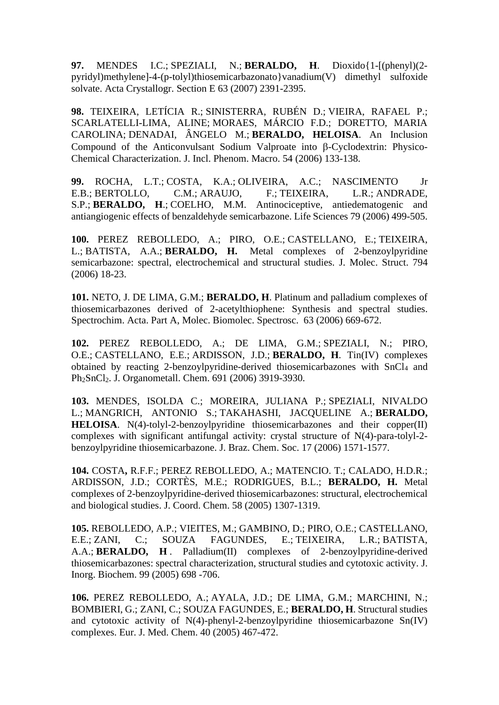**97.** MENDES I.C.; [SPEZIALI, N.;](http://lattes.cnpq.br/2287316756049448) **[BERALDO,](http://lattes.cnpq.br/8218059267505950) H**. Dioxido{1-[(phenyl)(2 pyridyl)methylene]-4-(p-tolyl)thiosemicarbazonato}vanadium(V) dimethyl sulfoxide solvate. Acta Crystallogr. Section E 63 (2007) 2391-2395.

**98.** [TEIXEIRA,](http://lattes.cnpq.br/8218059267505950) LETÍCIA R.; [SINISTERRA,](http://lattes.cnpq.br/0569614713880200) RUBÉN D.; VIEIRA, [RAFAEL](http://lattes.cnpq.br/2300064372165096) P.; SCARLATELLI-LIMA, ALINE; [MORAES,](http://lattes.cnpq.br/3132451355090021) MÁRCIO F.D.; DORETTO, MARIA CAROLINA; [DENADAI,](http://lattes.cnpq.br/5576033965386660) ÂNGELO M.; **[BERALDO,](http://lattes.cnpq.br/8218059267505950) HELOISA**. An Inclusion Compound of the Anticonvulsant Sodium Valproate into  $\beta$ -Cyclodextrin: Physico-Chemical Characterization. J. Incl. Phenom. Macro. 54 (2006) 133-138.

**99.** [ROCHA,](http://lattes.cnpq.br/1468341527530470) L.T.; [COSTA,](http://lattes.cnpq.br/1466962136734589) K.A.; [OLIVEIRA,](http://lattes.cnpq.br/2124700239916112) A.C.; NASCIMENTO Jr E.B.; [BERTOLLO,](http://lattes.cnpq.br/4162378715512598) C.M.; [ARAUJO,](http://lattes.cnpq.br/6160164570410430) F.; [TEIXEIRA,](http://lattes.cnpq.br/3150790447778819) L.R.; [ANDRADE,](http://lattes.cnpq.br/6317089230891526) [S.](http://lattes.cnpq.br/6317089230891526)P.; **[BERALDO,](http://lattes.cnpq.br/8218059267505950) H**.; [COELHO,](http://lattes.cnpq.br/4618940866590929) M.M. Antinociceptive, antiedematogenic and antiangiogenic effects of benzaldehyde semicarbazone. Life Sciences 79 (2006) 499-505.

**100.** PEREZ REBOLLEDO, A.; PIRO, O.E.; [CASTELLANO,](http://lattes.cnpq.br/7416526225245942) E.; [TEIXEIRA,](http://lattes.cnpq.br/3150790447778819) [L.](http://lattes.cnpq.br/3150790447778819); [BATISTA,](http://lattes.cnpq.br/6469642481998660) A.A.; **[BERALDO,](http://lattes.cnpq.br/8218059267505950) H.** Metal complexes of 2-benzoylpyridine semicarbazone: spectral, electrochemical and structural studies. J. Molec. Struct. 794 (2006) 18-23.

**101.** [NETO,](http://lattes.cnpq.br/3496881460916537) J. DE LIMA, G.M.; **[BERALDO,](http://lattes.cnpq.br/8218059267505950) H**. Platinum and palladium complexes of thiosemicarbazones derived of 2-acetylthiophene: Synthesis and spectral studies. Spectrochim. Acta. Part A, Molec. Biomolec. Spectrosc. 63 (2006) 669-672.

**102.** PEREZ REBOLLEDO, A.; DE LIMA, G.M.; [SPEZIALI,](http://lattes.cnpq.br/2287316756049448) N.; PIRO, O.E.; [CASTELLANO,](http://lattes.cnpq.br/7416526225245942) E.E.; [ARDISSON,](http://lattes.cnpq.br/6486792705300520) J.D.; **[BERALDO,](http://lattes.cnpq.br/8218059267505950) H**. Tin(IV) complexes obtained by reacting 2-benzoylpyridine-derived thiosemicarbazones with SnCl<sup>4</sup> and Ph2SnCl2. J. Organometall. Chem. 691 (2006) 3919-3930.

**103.** [MENDES,](http://lattes.cnpq.br/8218059267505950) ISOLDA C.; MOREIRA, JULIANA P.; [SPEZIALI,](http://lattes.cnpq.br/2287316756049448) NIVALDO [L.;](http://lattes.cnpq.br/2287316756049448) [MANGRICH,](http://lattes.cnpq.br/3935366222752874) ANTONIO S.; TAKAHASHI, [JACQUELINE](http://lattes.cnpq.br/8436025963943451) A.; **[BERALDO,](http://lattes.cnpq.br/8218059267505950) [HELOISA](http://lattes.cnpq.br/8218059267505950)**. N(4)-tolyl-2-benzoylpyridine thiosemicarbazones and their copper(II) complexes with significant antifungal activity: crystal structure of N(4)-para-tolyl-2 benzoylpyridine thiosemicarbazone. J. Braz. Chem. Soc. 17 (2006) 1571-1577.

**104.** COSTA**,** R.F.F.; PEREZ REBOLLEDO, A.; MATENCIO. T.; CALADO, H.D.R.; [ARDISSON,](http://lattes.cnpq.br/6486792705300520) J.D.; CORTÈS, M.E.; RODRIGUES, B.L.; **BERALDO, H.** Metal complexes of 2-benzoylpyridine-derived thiosemicarbazones: structural, electrochemical and biological studies. J. Coord. Chem. 58 (2005) 1307-1319.

**105.** [REBOLLEDO,](http://lattes.cnpq.br/2120467678731136) A.P.; VIEITES, M.; GAMBINO, D.; PIRO, O.E.; [CASTELLANO,](http://lattes.cnpq.br/7416526225245942) [E.](http://lattes.cnpq.br/7416526225245942)E.; [ZANI,](http://lattes.cnpq.br/0714208971609666) C.; SOUZA FAGUNDES, E.; [TEIXEIRA,](http://lattes.cnpq.br/3150790447778819) L.R.; [BATISTA,](http://lattes.cnpq.br/6469642481998660) [A.](http://lattes.cnpq.br/6469642481998660)A.; **[BERALDO,](http://lattes.cnpq.br/8218059267505950) H** . Palladium(II) complexes of 2-benzoylpyridine-derived thiosemicarbazones: spectral characterization, structural studies and cytotoxic activity. J. Inorg. Biochem. 99 (2005) 698 -706.

**106.** PEREZ REBOLLEDO, A.; [AYALA,](http://lattes.cnpq.br/7064005165479057) J.D.; DE LIMA, G.M.; MARCHINI, N.; BOMBIERI, G.; [ZANI,](http://lattes.cnpq.br/0714208971609666) C.; SOUZA FAGUNDES, E.; **[BERALDO,](http://lattes.cnpq.br/8218059267505950) H**. Structural studies and cytotoxic activity of N(4)-phenyl-2-benzoylpyridine thiosemicarbazone Sn(IV) complexes. Eur. J. Med. Chem. 40 (2005) 467-472.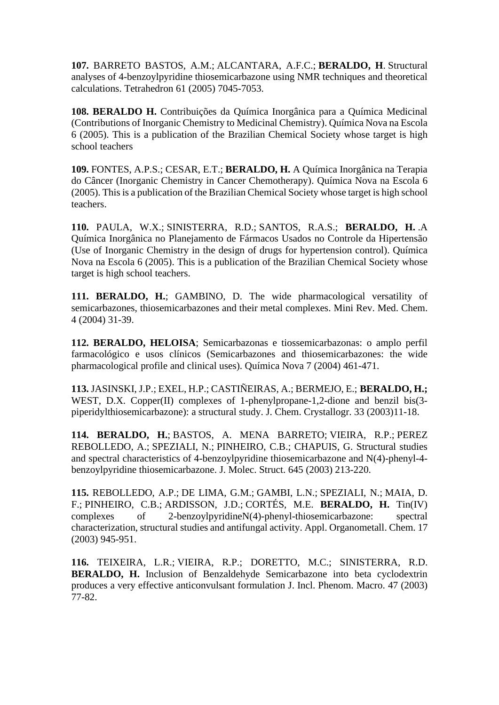**107.** BARRETO BASTOS, A.M.; [ALCANTARA,](http://lattes.cnpq.br/8670247634402438) A.F.C.; **[BERALDO,](http://lattes.cnpq.br/8218059267505950) H**. Structural analyses of 4-benzoylpyridine thiosemicarbazone using NMR techniques and theoretical calculations. Tetrahedron 61 (2005) 7045-7053.

**108. [BERALDO](http://lattes.cnpq.br/8218059267505950) H.** Contribuições da Química Inorgânica para a Química Medicinal (Contributions of Inorganic Chemistry to Medicinal Chemistry). Química Nova na Escola 6 (2005). This is a publication of the Brazilian Chemical Society whose target is high school teachers

**109.** [FONTES,](http://lattes.cnpq.br/8057549092593778) A.P.S.; [CESAR,](http://lattes.cnpq.br/6565158682566957) E.T.; **BERALDO, H.** A Química Inorgânica na Terapia do Câncer (Inorganic Chemistry in Cancer Chemotherapy). Química Nova na Escola 6 (2005). This is a publication of the Brazilian Chemical Society whose target is high school teachers.

**110.** [PAULA,](http://lattes.cnpq.br/7959181697121752) W.X.; [SINISTERRA,](http://lattes.cnpq.br/0569614713880200) R.D.; [SANTOS,](http://lattes.cnpq.br/3919711591553904) R.A.S.; **BERALDO, H.** .A Química Inorgânica no Planejamento de Fármacos Usados no Controle da Hipertensão (Use of Inorganic Chemistry in the design of drugs for hypertension control). Química Nova na Escola 6 (2005). This is a publication of the Brazilian Chemical Society whose target is high school teachers.

**111. [BERALDO,](http://lattes.cnpq.br/8218059267505950) H.**; GAMBINO, D. The wide pharmacological versatility of semicarbazones, thiosemicarbazones and their metal complexes. Mini Rev. Med. Chem. 4 (2004) 31-39.

**112. [BERALDO,](http://lattes.cnpq.br/8218059267505950) HELOISA**; Semicarbazonas e tiossemicarbazonas: o amplo perfil farmacológico e usos clínicos (Semicarbazones and thiosemicarbazones: the wide pharmacological profile and clinical uses). Química Nova 7 (2004) 461-471.

**113.** JASINSKI, J.P.; EXEL, H.P.; CASTIÑEIRAS, A.; BERMEJO, E.; **BERALDO, H.;** WEST, D.X. Copper(II) complexes of 1-phenylpropane-1,2-dione and benzil bis(3piperidylthiosemicarbazone): a structural study. J. Chem. Crystallogr. 33 (2003)11-18.

**114. [BERALDO,](http://lattes.cnpq.br/8218059267505950) H.**; BASTOS, A. MENA [BARRETO;](http://lattes.cnpq.br/7537898858693035) [VIEIRA,](http://lattes.cnpq.br/2300064372165096) R.P.; PEREZ [REBOLLEDO,](http://lattes.cnpq.br/2120467678731136) A.; [SPEZIALI,](http://lattes.cnpq.br/2287316756049448) N.; [PINHEIRO,](http://lattes.cnpq.br/9481262314079347) C.B.; CHAPUIS, G. Structural studies and spectral characteristics of 4-benzoylpyridine thiosemicarbazone and N(4)-phenyl-4 benzoylpyridine thiosemicarbazone. J. Molec. Struct. 645 (2003) 213-220.

**115.** [REBOLLEDO,](http://lattes.cnpq.br/2120467678731136) A.P.; DE [LIMA,](http://lattes.cnpq.br/8226529794937801) G.M.; [GAMBI,](http://lattes.cnpq.br/0049160262301594) L.N.; [SPEZIALI,](http://lattes.cnpq.br/2287316756049448) N.; [MAIA,](http://lattes.cnpq.br/0191523703129751) D. [F.;](http://lattes.cnpq.br/0191523703129751) [PINHEIRO,](http://lattes.cnpq.br/9481262314079347) C.B.; [ARDISSON,](http://lattes.cnpq.br/6486792705300520) J.D.; [CORTÉS,](http://lattes.cnpq.br/0950030473818532) M.E. **BERALDO, H.** Tin(IV) complexes of 2-benzoylpyridineN(4)-phenyl-thiosemicarbazone: spectral characterization, structural studies and antifungal activity. Appl. Organometall. Chem. 17 (2003) 945-951.

**116.** TEIXEIRA, L.R.; [VIEIRA,](http://lattes.cnpq.br/2300064372165096) R.P.; DORETTO, M.C.; SINISTERRA, R.D. **BERALDO, H.** Inclusion of Benzaldehyde Semicarbazone into beta cyclodextrin produces a very effective anticonvulsant formulation J. Incl. Phenom. Macro. 47 (2003) 77-82.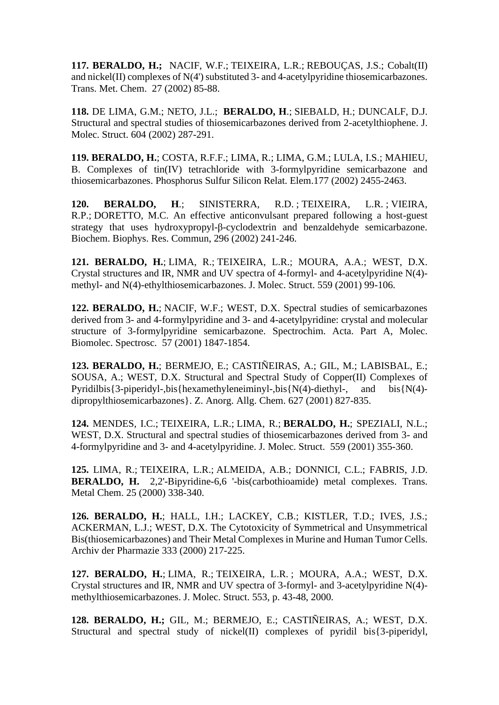**117. BERALDO, H.;** [NACIF,](http://lattes.cnpq.br/7736927541464931) W.F.; [TEIXEIRA,](http://lattes.cnpq.br/3150790447778819) L.R.; [REBOUÇAS,](http://lattes.cnpq.br/0305007181787906) J.S.; Cobalt(II) and nickel(II) complexes of N(4') substituted 3- and 4-acetylpyridine thiosemicarbazones. Trans. Met. Chem. 27 (2002) 85-88.

**118.** DE [LIMA,](http://lattes.cnpq.br/8218059267505950) G.M.; NETO, J.L.; **[BERALDO, H](http://lattes.cnpq.br/8218059267505950)**.; [SIEBALD,](http://lattes.cnpq.br/8969136140936814) H.; DUNCALF, D.J. Structural and spectral studies of thiosemicarbazones derived from 2-acetylthiophene. J. Molec. Struct. 604 (2002) 287-291.

**119. BERALDO, H.**; [COSTA,](http://lattes.cnpq.br/8760660056817369) R.F.F.; [LIMA,](http://lattes.cnpq.br/6515145587200500) R.; [LIMA,](http://lattes.cnpq.br/8226529794937801) G.M.; [LULA,](http://lattes.cnpq.br/7699721543354548) I.S.; MAHIEU, B. Complexes of tin(IV) tetrachloride with 3-formylpyridine semicarbazone and thiosemicarbazones. Phosphorus Sulfur Silicon Relat. Elem.177 (2002) 2455-2463.

**120. BERALDO, H**.; [SINISTERRA,](http://lattes.cnpq.br/0569614713880200) R.D. ; [TEIXEIRA,](http://lattes.cnpq.br/3150790447778819) L.R. ; [VIEIRA,](http://lattes.cnpq.br/2300064372165096) [R.P.;](http://lattes.cnpq.br/2300064372165096) [DORETTO,](http://lattes.cnpq.br/6829780730283506) M.C. An effective anticonvulsant prepared following a host-guest strategy that uses hydroxypropyl-β-cyclodextrin and benzaldehyde semicarbazone. Biochem. Biophys. Res. Commun, 296 (2002) 241-246.

**121. BERALDO, H.**; [LIMA,](http://lattes.cnpq.br/6515145587200500) R.; [TEIXEIRA,](http://lattes.cnpq.br/3150790447778819) L.R.; MOURA, A.A.; WEST, D.X. Crystal structures and IR, NMR and UV spectra of 4-formyl- and 4-acetylpyridine N(4) methyl- and N(4)-ethylthiosemicarbazones. J. Molec. Struct. 559 (2001) 99-106.

**122. [BERALDO,](http://lattes.cnpq.br/8218059267505950) H.**; [NACIF,](http://lattes.cnpq.br/7736927541464931) W.F.; WEST, D.X. Spectral studies of semicarbazones derived from 3- and 4-formylpyridine and 3- and 4-acetylpyridine: crystal and molecular structure of 3-formylpyridine semicarbazone. Spectrochim. Acta. Part A, Molec. Biomolec. Spectrosc. 57 (2001) 1847-1854.

**123. BERALDO, H.**; BERMEJO, E.; CASTIÑEIRAS, A.; GIL, M.; LABISBAL, E.; SOUSA, A.; WEST, D.X. Structural and Spectral Study of Copper(II) Complexes of Pyridilbis $\{3$ -piperidyl-,bis $\{hexamethyleneiminyl-}, bis\{N(4)-diethyl-}, and bis\{N(4)$ dipropylthiosemicarbazones}. Z. Anorg. Allg. Chem. 627 (2001) 827-835.

**124.** MENDES, I.C.; [TEIXEIRA,](http://lattes.cnpq.br/3150790447778819) L.R.; [LIMA,](http://lattes.cnpq.br/6515145587200500) R.; **BERALDO, H.**; SPEZIALI, N.L.; WEST, D.X. Structural and spectral studies of thiosemicarbazones derived from 3- and 4-formylpyridine and 3- and 4-acetylpyridine. J. Molec. Struct. 559 (2001) 355-360.

**125.** LIMA, R.; [TEIXEIRA,](http://lattes.cnpq.br/3150790447778819) L.R.; ALMEIDA, A.B.; DONNICI, C.L.; FABRIS, J.D. **BERALDO, H.** 2,2'-Bipyridine-6,6 '-bis(carbothioamide) metal complexes. Trans. Metal Chem. 25 (2000) 338-340.

**126. BERALDO, H.**; HALL, I.H.; LACKEY, C.B.; KISTLER, T.D.; IVES, J.S.; ACKERMAN, L.J.; WEST, D.X. The Cytotoxicity of Symmetrical and Unsymmetrical Bis(thiosemicarbazones) and Their Metal Complexes in Murine and Human Tumor Cells. Archiv der Pharmazie 333 (2000) 217-225.

**127. BERALDO, H.**; [LIMA,](http://lattes.cnpq.br/6515145587200500) R.; [TEIXEIRA,](http://lattes.cnpq.br/3150790447778819) L.R. ; MOURA, A.A.; WEST, D.X. Crystal structures and IR, NMR and UV spectra of 3-formyl- and 3-acetylpyridine N(4) methylthiosemicarbazones. J. Molec. Struct. 553, p. 43-48, 2000.

**128. BERALDO, H.;** GIL, M.; BERMEJO, E.; CASTIÑEIRAS, A.; WEST, D.X. Structural and spectral study of nickel(II) complexes of pyridil bis{3-piperidyl,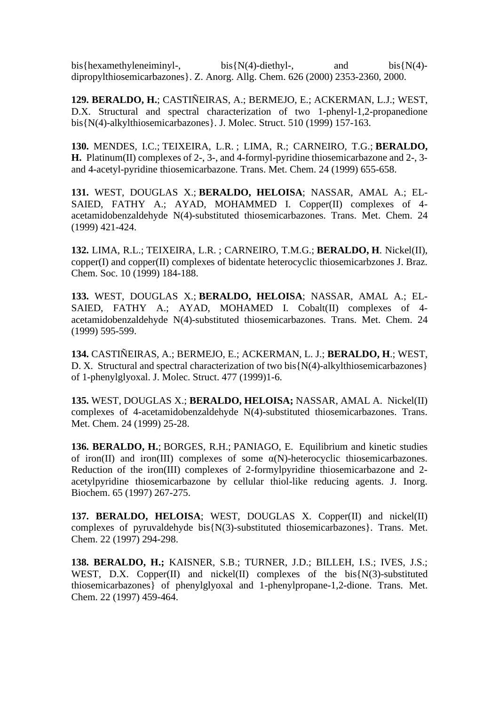bis{hexamethyleneiminyl-, bis{N(4)-diethyl-, and bis{N(4)dipropylthiosemicarbazones}. Z. Anorg. Allg. Chem. 626 (2000) 2353-2360, 2000.

**129. BERALDO, H.**; CASTIÑEIRAS, A.; BERMEJO, E.; ACKERMAN, L.J.; WEST, D.X. Structural and spectral characterization of two 1-phenyl-1,2-propanedione bis{N(4)-alkylthiosemicarbazones}. J. Molec. Struct. 510 (1999) 157-163.

**130.** [MENDES,](http://lattes.cnpq.br/4135519633437150) I.C.; [TEIXEIRA,](http://lattes.cnpq.br/3150790447778819) L.R. ; LIMA, R.; CARNEIRO, T.G.; **BERALDO, H.** Platinum(II) complexes of 2-, 3-, and 4-formyl-pyridine thiosemicarbazone and 2-, 3 and 4-acetyl-pyridine thiosemicarbazone. Trans. Met. Chem. 24 (1999) 655-658.

**131.** WEST, DOUGLAS X.; **BERALDO, HELOISA**; NASSAR, AMAL A.; EL-SAIED, FATHY A.; AYAD, MOHAMMED I. Copper(II) complexes of 4acetamidobenzaldehyde N(4)-substituted thiosemicarbazones. Trans. Met. Chem. 24 (1999) 421-424.

**132.** [LIMA,](http://lattes.cnpq.br/6515145587200500) R.L.; [TEIXEIRA,](http://lattes.cnpq.br/3150790447778819) L.R. ; CARNEIRO, T.M.G.; **BERALDO, H**. Nickel(II), copper(I) and copper(II) complexes of bidentate heterocyclic thiosemicarbzones J. Braz. Chem. Soc. 10 (1999) 184-188.

**133.** WEST, DOUGLAS X.; **BERALDO, HELOISA**; NASSAR, AMAL A.; EL-SAIED, FATHY A.; AYAD, MOHAMED I. Cobalt(II) complexes of 4acetamidobenzaldehyde N(4)-substituted thiosemicarbazones. Trans. Met. Chem. 24 (1999) 595-599.

**134.** CASTIÑEIRAS, A.; BERMEJO, E.; ACKERMAN, L. J.; **BERALDO, H**.; WEST, D. X. Structural and spectral characterization of two bis{N(4)-alkylthiosemicarbazones} of 1-phenylglyoxal. J. Molec. Struct. 477 (1999)1-6.

**135.** WEST, DOUGLAS X.; **BERALDO, HELOISA;** NASSAR, AMAL A. Nickel(II) complexes of 4-acetamidobenzaldehyde N(4)-substituted thiosemicarbazones. Trans. Met. Chem. 24 (1999) 25-28.

**136. BERALDO, H.**; [BORGES,](http://lattes.cnpq.br/5665482478229910) R.H.; [PANIAGO,](http://lattes.cnpq.br/3502740372130588) E. Equilibrium and kinetic studies of iron(II) and iron(III) complexes of some  $\alpha(N)$ -heterocyclic thiosemicarbazones. Reduction of the iron(III) complexes of 2-formylpyridine thiosemicarbazone and 2 acetylpyridine thiosemicarbazone by cellular thiol-like reducing agents. J. Inorg. Biochem. 65 (1997) 267-275.

**137. BERALDO, HELOISA**; WEST, DOUGLAS X. Copper(II) and nickel(II) complexes of pyruvaldehyde bis{N(3)-substituted thiosemicarbazones}. Trans. Met. Chem. 22 (1997) 294-298.

**138. BERALDO, H.;** KAISNER, S.B.; TURNER, J.D.; BILLEH, I.S.; IVES, J.S.; WEST, D.X. Copper(II) and nickel(II) complexes of the  $bis\{N(3)-substituted\}$ thiosemicarbazones} of phenylglyoxal and 1-phenylpropane-1,2-dione. Trans. Met. Chem. 22 (1997) 459-464.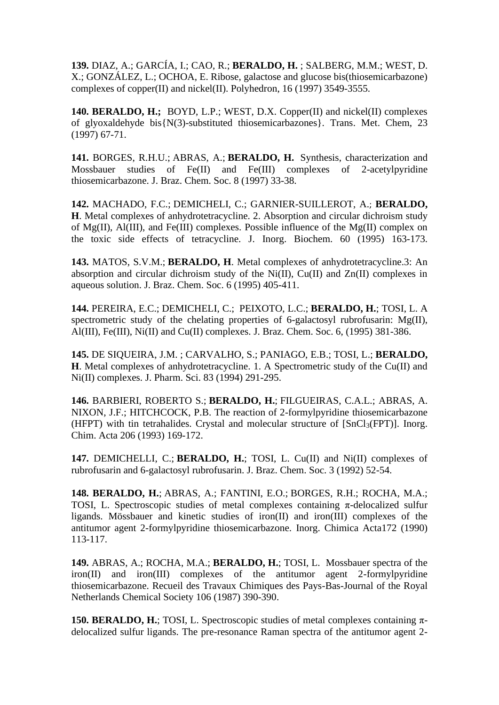**139.** DIAZ, A.; GARCÍA, I.; CAO, R.; **BERALDO, H.** ; SALBERG, M.M.; WEST, D. X.; GONZÁLEZ, L.; [OCHOA,](http://lattes.cnpq.br/4726633747935220) E. Ribose, galactose and glucose bis(thiosemicarbazone) complexes of copper(II) and nickel(II). Polyhedron, 16 (1997) 3549-3555.

**140. [BERALDO, H.;](http://lattes.cnpq.br/8218059267505950)** BOYD, L.P.; WEST, D.X. Copper(II) and nickel(II) complexes of glyoxaldehyde bis{N(3)-substituted thiosemicarbazones}. Trans. Met. Chem, 23 (1997) 67-71.

**141.** [BORGES,](http://lattes.cnpq.br/5665482478229910) R.H.U.; [ABRAS,](http://lattes.cnpq.br/4181558422910350) A.; **BERALDO, H.** Synthesis, characterization and Mossbauer studies of Fe(II) and Fe(III) complexes of 2-acetylpyridine thiosemicarbazone. J. Braz. Chem. Soc. 8 (1997) 33-38.

**142.** [MACHADO,](http://lattes.cnpq.br/6337530512119332) F.C.; [DEMICHELI,](http://lattes.cnpq.br/3146161136791377) C.; GARNIER-SUILLEROT, A.; **BERALDO, H**. Metal complexes of anhydrotetracycline. 2. Absorption and circular dichroism study of Mg(II), Al(III), and Fe(III) complexes. Possible influence of the Mg(II) complex on the toxic side effects of tetracycline. J. Inorg. Biochem. 60 (1995) 163-173.

**143.** MATOS, S.V.M.; **BERALDO, H**. Metal complexes of anhydrotetracycline.3: An absorption and circular dichroism study of the Ni(II), Cu(II) and Zn(II) complexes in aqueous solution. J. Braz. Chem. Soc. 6 (1995) 405-411.

**144.** [PEREIRA,](http://lattes.cnpq.br/7615891473051775) E.C.; [DEMICHELI,](http://lattes.cnpq.br/3146161136791377) C.; [PEIXOTO,](http://lattes.cnpq.br/2391172147377321) L.C.; **BERALDO, H.**; TOSI, L. A spectrometric study of the chelating properties of 6-galactosyl rubrofusarin:  $Mg(II)$ , Al(III), Fe(III), Ni(II) and Cu(II) complexes. J. Braz. Chem. Soc. 6, (1995) 381-386.

**145.** DE SIQUEIRA, J.M. ; CARVALHO, S.; [PANIAGO,](http://lattes.cnpq.br/3502740372130588) E.B.; TOSI, L.; **BERALDO, H**. Metal complexes of anhydrotetracycline. 1. A Spectrometric study of the Cu(II) and Ni(II) complexes. J. Pharm. Sci. 83 (1994) 291-295.

**146.** BARBIERI, ROBERTO S.; **BERALDO, H.**; [FILGUEIRAS,](http://lattes.cnpq.br/0332057573470620) C.A.L.; ABRAS, A. NIXON, J.F.; HITCHCOCK, P.B. The reaction of 2-formylpyridine thiosemicarbazone (HFPT) with tin tetrahalides. Crystal and molecular structure of [SnCl3(FPT)]. Inorg. Chim. Acta 206 (1993) 169-172.

**147.** DEMICHELLI, C.; **BERALDO, H.**; TOSI, L. Cu(II) and Ni(II) complexes of rubrofusarin and 6-galactosyl rubrofusarin. J. Braz. Chem. Soc. 3 (1992) 52-54.

**148. BERALDO, H.**; [ABRAS,](http://lattes.cnpq.br/4181558422910350) A.; FANTINI, E.O.; [BORGES,](http://lattes.cnpq.br/5665482478229910) R.H.; ROCHA, M.A.; TOSI, L. Spectroscopic studies of metal complexes containing  $\pi$ -delocalized sulfur ligands. Mössbauer and kinetic studies of iron(II) and iron(III) complexes of the antitumor agent 2-formylpyridine thiosemicarbazone. Inorg. Chimica Acta172 (1990) 113-117.

**149.** [ABRAS,](http://lattes.cnpq.br/4181558422910350) A.; ROCHA, M.A.; **BERALDO, H.**; TOSI, L. Mossbauer spectra of the iron(II) and iron(III) complexes of the antitumor agent 2-formylpyridine thiosemicarbazone. Recueil des Travaux Chimiques des Pays-Bas-Journal of the Royal Netherlands Chemical Society 106 (1987) 390-390.

**150. BERALDO, H.**; TOSI, L. Spectroscopic studies of metal complexes containing πdelocalized sulfur ligands. The pre-resonance Raman spectra of the antitumor agent 2